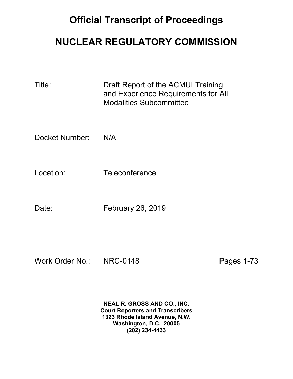## **Official Transcript of Proceedings**

# **NUCLEAR REGULATORY COMMISSION**

| Title:         | Draft Report of the ACMUI Training<br>and Experience Requirements for All<br><b>Modalities Subcommittee</b> |
|----------------|-------------------------------------------------------------------------------------------------------------|
| Docket Number: | N/A                                                                                                         |
| Location:      | Teleconference                                                                                              |
| Date:          | <b>February 26, 2019</b>                                                                                    |

Work Order No.: NRC-0148 Pages 1-73

**NEAL R. GROSS AND CO., INC. Court Reporters and Transcribers 1323 Rhode Island Avenue, N.W. Washington, D.C. 20005 (202) 234-4433**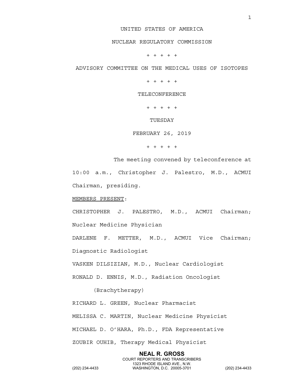### UNITED STATES OF AMERICA

## NUCLEAR REGULATORY COMMISSION

+ + + + +

ADVISORY COMMITTEE ON THE MEDICAL USES OF ISOTOPES

+ + + + +

TELECONFERENCE

+ + + + +

TUESDAY

FEBRUARY 26, 2019

+ + + + +

The meeting convened by teleconference at 10:00 a.m., Christopher J. Palestro, M.D., ACMUI Chairman, presiding.

MEMBERS PRESENT:

CHRISTOPHER J. PALESTRO, M.D., ACMUI Chairman; Nuclear Medicine Physician

DARLENE F. METTER, M.D., ACMUI Vice Chairman; Diagnostic Radiologist

VASKEN DILSIZIAN, M.D., Nuclear Cardiologist

RONALD D. ENNIS, M.D., Radiation Oncologist

(Brachytherapy)

RICHARD L. GREEN, Nuclear Pharmacist MELISSA C. MARTIN, Nuclear Medicine Physicist MICHAEL D. O'HARA, Ph.D., FDA Representative ZOUBIR OUHIB, Therapy Medical Physicist

**NEAL R. GROSS** COURT REPORTERS AND TRANSCRIBERS 1323 RHODE ISLAND AVE., N.W.<br>WASHINGTON, D.C. 20005-3701 (202) 234-4433 WASHINGTON, D.C. 20005-3701 (202) 234-4433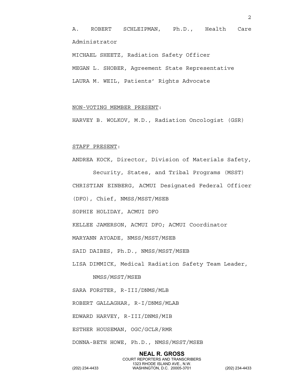A. ROBERT SCHLEIPMAN, Ph.D., Health Care Administrator

MICHAEL SHEETZ, Radiation Safety Officer MEGAN L. SHOBER, Agreement State Representative LAURA M. WEIL, Patients' Rights Advocate

### NON-VOTING MEMBER PRESENT:

HARVEY B. WOLKOV, M.D., Radiation Oncologist (GSR)

#### STAFF PRESENT:

ANDREA KOCK, Director, Division of Materials Safety,

Security, States, and Tribal Programs (MSST) CHRISTIAN EINBERG, ACMUI Designated Federal Officer (DFO), Chief, NMSS/MSST/MSEB

SOPHIE HOLIDAY, ACMUI DFO

KELLEE JAMERSON, ACMUI DFO; ACMUI Coordinator

MARYANN AYOADE, NMSS/MSST/MSEB

SAID DAIBES, Ph.D., NMSS/MSST/MSEB

LISA DIMMICK, Medical Radiation Safety Team Leader,

NMSS/MSST/MSEB

SARA FORSTER, R-III/DNMS/MLB

ROBERT GALLAGHAR, R-I/DNMS/MLAB

EDWARD HARVEY, R-III/DNMS/MIB

ESTHER HOUSEMAN, OGC/GCLR/RMR

DONNA-BETH HOWE, Ph.D., NMSS/MSST/MSEB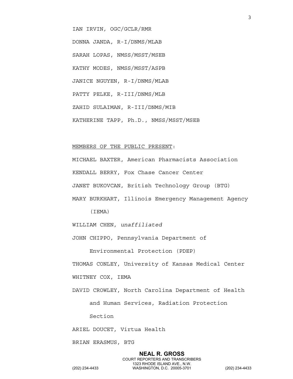IAN IRVIN, OGC/GCLR/RMR

DONNA JANDA, R-I/DNMS/MLAB SARAH LOPAS, NMSS/MSST/MSEB KATHY MODES, NMSS/MSST/ASPB JANICE NGUYEN, R-I/DNMS/MLAB PATTY PELKE, R-III/DNMS/MLB ZAHID SULAIMAN, R-III/DNMS/MIB KATHERINE TAPP, Ph.D., NMSS/MSST/MSEB

#### MEMBERS OF THE PUBLIC PRESENT:

MICHAEL BAXTER, American Pharmacists Association KENDALL BERRY, Fox Chase Cancer Center JANET BUKOVCAN, British Technology Group (BTG) MARY BURKHART, Illinois Emergency Management Agency

(IEMA)

WILLIAM CHEN, *unaffiliated*

JOHN CHIPPO, Pennsylvania Department of

Environmental Protection (PDEP)

THOMAS CONLEY, University of Kansas Medical Center

WHITNEY COX, IEMA

DAVID CROWLEY, North Carolina Department of Health

and Human Services, Radiation Protection

Section

ARIEL DOUCET, Virtua Health

BRIAN ERASMUS, BTG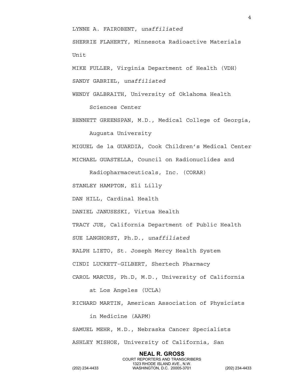LYNNE A. FAIROBENT, *unaffiliated*

SHERRIE FLAHERTY, Minnesota Radioactive Materials Unit

MIKE FULLER, Virginia Department of Health (VDH)

SANDY GABRIEL, *unaffiliated*

WENDY GALBRAITH, University of Oklahoma Health

Sciences Center

BENNETT GREENSPAN, M.D., Medical College of Georgia,

Augusta University

MIGUEL de la GUARDIA, Cook Children's Medical Center MICHAEL GUASTELLA, Council on Radionuclides and

Radiopharmaceuticals, Inc. (CORAR)

STANLEY HAMPTON, Eli Lilly

DAN HILL, Cardinal Health

DANIEL JANUSESKI, Virtua Health

TRACY JUE, California Department of Public Health

SUE LANGHORST, Ph.D., *unaffiliated*

RALPH LIETO, St. Joseph Mercy Health System

CINDI LUCKETT-GILBERT, Shertech Pharmacy

CAROL MARCUS, Ph.D, M.D., University of California

at Los Angeles (UCLA)

RICHARD MARTIN, American Association of Physicists

in Medicine (AAPM)

SAMUEL MEHR, M.D., Nebraska Cancer Specialists ASHLEY MISHOE, University of California, San

**NEAL R. GROSS** COURT REPORTERS AND TRANSCRIBERS 1323 RHODE ISLAND AVE., N.W.<br>WASHINGTON, D.C. 20005-3701 (202) 234-4433 WASHINGTON, D.C. 20005-3701 (202) 234-4433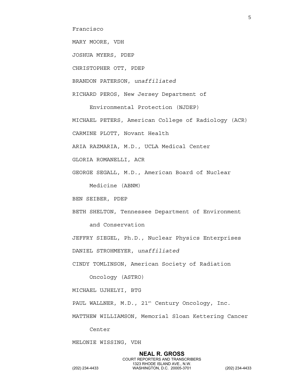Francisco

MARY MOORE, VDH

JOSHUA MYERS, PDEP

CHRISTOPHER OTT, PDEP

BRANDON PATERSON, *unaffiliated*

RICHARD PEROS, New Jersey Department of

Environmental Protection (NJDEP)

MICHAEL PETERS, American College of Radiology (ACR)

CARMINE PLOTT, Novant Health

ARIA RAZMARIA, M.D., UCLA Medical Center

GLORIA ROMANELLI, ACR

GEORGE SEGALL, M.D., American Board of Nuclear

Medicine (ABNM)

BEN SEIBER, PDEP

BETH SHELTON, Tennessee Department of Environment and Conservation

JEFFRY SIEGEL, Ph.D., Nuclear Physics Enterprises

DANIEL STROHMEYER, *unaffiliated*

CINDY TOMLINSON, American Society of Radiation

Oncology (ASTRO)

MICHAEL UJHELYI, BTG

PAUL WALLNER, M.D., 21st Century Oncology, Inc.

MATTHEW WILLIAMSON, Memorial Sloan Kettering Cancer

Center

MELONIE WISSING, VDH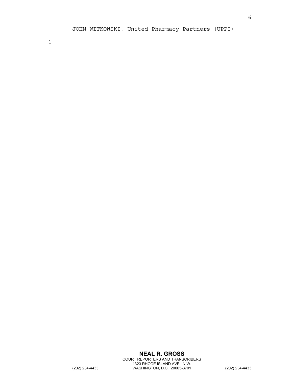1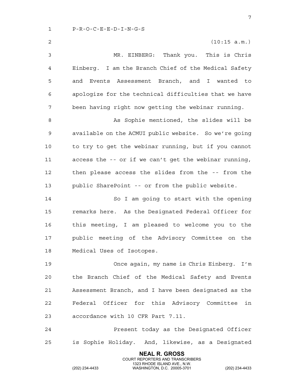1 P-R-O-C-E-E-D-I-N-G-S

**NEAL R. GROSS** 2 (10:15 a.m.) 3 MR. EINBERG: Thank you. This is Chris 4 Einberg. I am the Branch Chief of the Medical Safety 5 and Events Assessment Branch, and I wanted to 6 apologize for the technical difficulties that we have 7 been having right now getting the webinar running. 8 As Sophie mentioned, the slides will be 9 available on the ACMUI public website. So we're going 10 to try to get the webinar running, but if you cannot 11 access the -- or if we can't get the webinar running, 12 then please access the slides from the -- from the 13 public SharePoint -- or from the public website. 14 So I am going to start with the opening 15 remarks here. As the Designated Federal Officer for 16 this meeting, I am pleased to welcome you to the 17 public meeting of the Advisory Committee on the 18 Medical Uses of Isotopes. 19 Once again, my name is Chris Einberg. I'm 20 the Branch Chief of the Medical Safety and Events 21 Assessment Branch, and I have been designated as the 22 Federal Officer for this Advisory Committee in 23 accordance with 10 CFR Part 7.11. 24 Present today as the Designated Officer 25 is Sophie Holiday. And, likewise, as a Designated

COURT REPORTERS AND TRANSCRIBERS

1323 RHODE ISLAND AVE., N.W.<br>WASHINGTON, D.C. 20005-3701

(202) 234-4433 WASHINGTON, D.C. 20005-3701 (202) 234-4433

7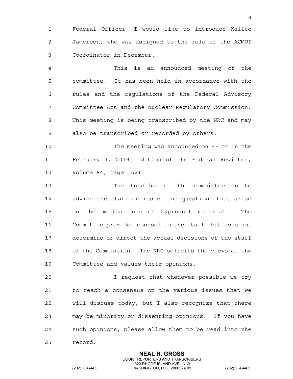1 Federal Officer, I would like to introduce Kellee 2 Jamerson, who was assigned to the role of the ACMUI 3 Coordinator in December.

4 This is an announced meeting of the 5 committee. It has been held in accordance with the 6 rules and the regulations of the Federal Advisory 7 Committee Act and the Nuclear Regulatory Commission. 8 This meeting is being transcribed by the NRC and may 9 also be transcribed or recorded by others.

10 The meeting was announced on -- or in the 11 February 4, 2019, edition of the Federal Register, 12 Volume 84, page 1521.

13 The function of the committee is to 14 advise the staff on issues and questions that arise 15 on the medical use of byproduct material. The 16 Committee provides counsel to the staff, but does not 17 determine or direct the actual decisions of the staff 18 or the Commission. The NRC solicits the views of the 19 Committee and values their opinions.

20 I request that whenever possible we try 21 to reach a consensus on the various issues that we 22 will discuss today, but I also recognize that there 23 may be minority or dissenting opinions. If you have 24 such opinions, please allow them to be read into the 25 record.

> **NEAL R. GROSS** COURT REPORTERS AND TRANSCRIBERS

1323 RHODE ISLAND AVE., N.W.<br>WASHINGTON, D.C. 20005-3701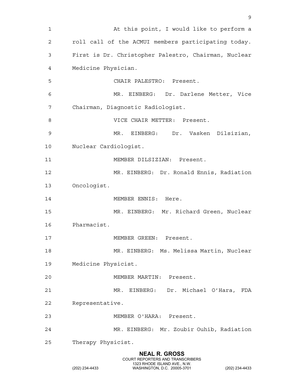**NEAL R. GROSS** COURT REPORTERS AND TRANSCRIBERS 1 At this point, I would like to perform a 2 roll call of the ACMUI members participating today. 3 First is Dr. Christopher Palestro, Chairman, Nuclear 4 Medicine Physician. 5 CHAIR PALESTRO: Present. 6 MR. EINBERG: Dr. Darlene Metter, Vice 7 Chairman, Diagnostic Radiologist. 8 VICE CHAIR METTER: Present. 9 MR. EINBERG: Dr. Vasken Dilsizian, 10 Nuclear Cardiologist. 11 MEMBER DILSIZIAN: Present. 12 MR. EINBERG: Dr. Ronald Ennis, Radiation 13 Oncologist. 14 MEMBER ENNIS: Here. 15 MR. EINBERG: Mr. Richard Green, Nuclear 16 Pharmacist. 17 MEMBER GREEN: Present. 18 MR. EINBERG: Ms. Melissa Martin, Nuclear 19 Medicine Physicist. 20 MEMBER MARTIN: Present. 21 MR. EINBERG: Dr. Michael O'Hara, FDA 22 Representative. 23 MEMBER O'HARA: Present. 24 MR. EINBERG: Mr. Zoubir Ouhib, Radiation 25 Therapy Physicist.

9

1323 RHODE ISLAND AVE., N.W.<br>WASHINGTON, D.C. 20005-3701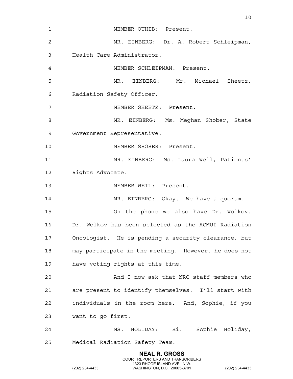| 1              | MEMBER OUHIB: Present.                                   |
|----------------|----------------------------------------------------------|
| 2              | MR. EINBERG: Dr. A. Robert Schleipman,                   |
| 3              | Health Care Administrator.                               |
| $\overline{4}$ | MEMBER SCHLEIPMAN: Present.                              |
| 5              | MR. EINBERG: Mr. Michael Sheetz,                         |
| 6              | Radiation Safety Officer.                                |
| 7              | MEMBER SHEETZ: Present.                                  |
| 8              | MR. EINBERG: Ms. Meghan Shober, State                    |
| 9              | Government Representative.                               |
| 10             | MEMBER SHOBER: Present.                                  |
| 11             | MR. EINBERG: Ms. Laura Weil, Patients'                   |
| 12             | Rights Advocate.                                         |
| 13             | MEMBER WEIL: Present.                                    |
| 14             | MR. EINBERG: Okay. We have a quorum.                     |
| 15             | On the phone we also have Dr. Wolkov.                    |
| 16             | Dr. Wolkov has been selected as the ACMUI Radiation      |
| 17             | Oncologist. He is pending a security clearance, but      |
| 18             | may participate in the meeting. However, he does not     |
| 19             | have voting rights at this time.                         |
| 20             | And I now ask that NRC staff members who                 |
| 21             | are present to identify themselves. I'll start with      |
| 22             | individuals in the room here. And, Sophie, if you        |
| 23             | want to go first.                                        |
| 24             | MS. HOLIDAY: Hi. Sophie Holiday,                         |
| 25             | Medical Radiation Safety Team.                           |
|                | <b>NEAL R. GROSS</b><br>COURT REPORTERS AND TRANSCRIBERS |

10

1323 RHODE ISLAND AVE., N.W.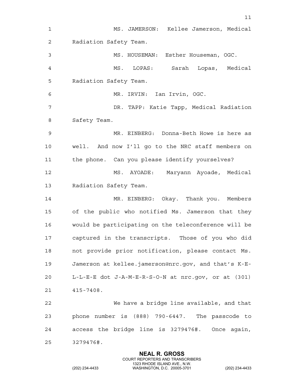1 MS. JAMERSON: Kellee Jamerson, Medical 2 Radiation Safety Team. 3 MS. HOUSEMAN: Esther Houseman, OGC. 4 MS. LOPAS: Sarah Lopas, Medical 5 Radiation Safety Team. 6 MR. IRVIN: Ian Irvin, OGC. 7 DR. TAPP: Katie Tapp, Medical Radiation 8 Safety Team. 9 MR. EINBERG: Donna-Beth Howe is here as 10 well. And now I'll go to the NRC staff members on 11 the phone. Can you please identify yourselves? 12 MS. AYOADE: Maryann Ayoade, Medical 13 Radiation Safety Team. 14 MR. EINBERG: Okay. Thank you. Members 15 of the public who notified Ms. Jamerson that they 16 would be participating on the teleconference will be 17 captured in the transcripts. Those of you who did 18 not provide prior notification, please contact Ms. 19 Jamerson at kellee.jamerson@nrc.gov, and that's K-E-20 L-L-E-E dot J-A-M-E-R-S-O-N at nrc.gov, or at (301) 21 415-7408. 22 We have a bridge line available, and that 23 phone number is (888) 790-6447. The passcode to 24 access the bridge line is 3279476#. Once again, 25 3279476#.

> **NEAL R. GROSS** COURT REPORTERS AND TRANSCRIBERS

11

1323 RHODE ISLAND AVE., N.W.<br>WASHINGTON, D.C. 20005-3701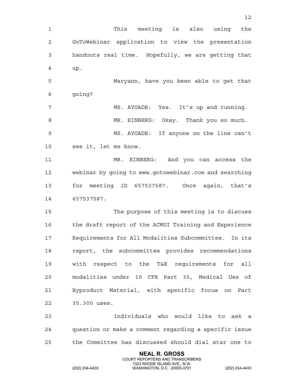**NEAL R. GROSS** 1 This meeting is also using the 2 GoToWebinar application to view the presentation 3 handouts real time. Hopefully, we are getting that 4 up. 5 Maryann, have you been able to get that 6 going? 7 MS. AYOADE: Yes. It's up and running. 8 MR. EINBERG: Okay. Thank you so much. 9 MS. AYOADE: If anyone on the line can't 10 see it, let me know. 11 MR. EINBERG: And you can access the 12 webinar by going to www.gotowebinar.com and searching 13 for meeting ID 657537587. Once again, that's 14 657537587. 15 The purpose of this meeting is to discuss 16 the draft report of the ACMUI Training and Experience 17 Requirements for All Modalities Subcommittee. In its 18 report, the subcommittee provides recommendations 19 with respect to the T&E requirements for all 20 modalities under 10 CFR Part 35, Medical Use of 21 Byproduct Material, with specific focus on Part 22 35.300 uses. 23 Individuals who would like to ask a 24 question or make a comment regarding a specific issue 25 the Committee has discussed should dial star one to

COURT REPORTERS AND TRANSCRIBERS

12

1323 RHODE ISLAND AVE., N.W.<br>WASHINGTON, D.C. 20005-3701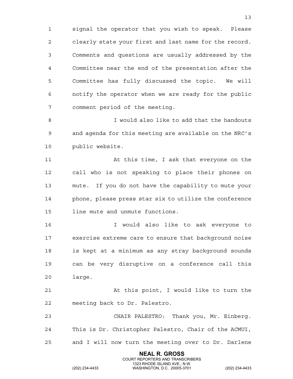1 signal the operator that you wish to speak. Please 2 clearly state your first and last name for the record. 3 Comments and questions are usually addressed by the 4 Committee near the end of the presentation after the 5 Committee has fully discussed the topic. We will 6 notify the operator when we are ready for the public 7 comment period of the meeting.

8 I would also like to add that the handouts 9 and agenda for this meeting are available on the NRC's 10 public website.

11 At this time, I ask that everyone on the 12 call who is not speaking to place their phones on 13 mute. If you do not have the capability to mute your 14 phone, please press star six to utilize the conference 15 line mute and unmute functions.

16 I would also like to ask everyone to 17 exercise extreme care to ensure that background noise 18 is kept at a minimum as any stray background sounds 19 can be very disruptive on a conference call this 20 large.

21 At this point, I would like to turn the 22 meeting back to Dr. Palestro.

23 CHAIR PALESTRO: Thank you, Mr. Einberg. 24 This is Dr. Christopher Palestro, Chair of the ACMUI, 25 and I will now turn the meeting over to Dr. Darlene

> **NEAL R. GROSS** COURT REPORTERS AND TRANSCRIBERS

1323 RHODE ISLAND AVE., N.W.<br>WASHINGTON, D.C. 20005-3701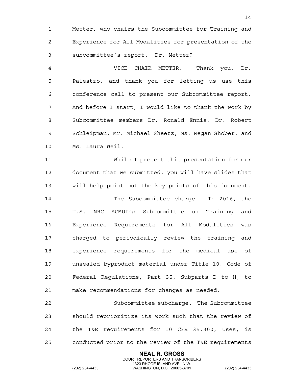1 Metter, who chairs the Subcommittee for Training and 2 Experience for All Modalities for presentation of the 3 subcommittee's report. Dr. Metter?

4 VICE CHAIR METTER: Thank you, Dr. 5 Palestro, and thank you for letting us use this 6 conference call to present our Subcommittee report. 7 And before I start, I would like to thank the work by 8 Subcommittee members Dr. Ronald Ennis, Dr. Robert 9 Schleipman, Mr. Michael Sheetz, Ms. Megan Shober, and 10 Ms. Laura Weil.

11 While I present this presentation for our 12 document that we submitted, you will have slides that 13 will help point out the key points of this document. 14 The Subcommittee charge. In 2016, the 15 U.S. NRC ACMUI's Subcommittee on Training and 16 Experience Requirements for All Modalities was 17 charged to periodically review the training and 18 experience requirements for the medical use of 19 unsealed byproduct material under Title 10, Code of 20 Federal Regulations, Part 35, Subparts D to H, to 21 make recommendations for changes as needed.

22 Subcommittee subcharge. The Subcommittee 23 should reprioritize its work such that the review of 24 the T&E requirements for 10 CFR 35.300, Uses, is 25 conducted prior to the review of the T&E requirements

> **NEAL R. GROSS** COURT REPORTERS AND TRANSCRIBERS

1323 RHODE ISLAND AVE., N.W.<br>WASHINGTON, D.C. 20005-3701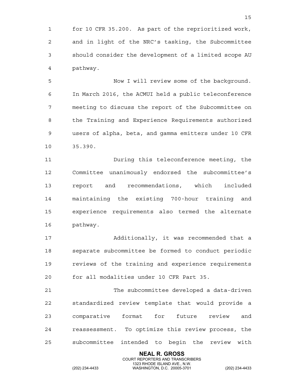1 for 10 CFR 35.200. As part of the reprioritized work, 2 and in light of the NRC's tasking, the Subcommittee 3 should consider the development of a limited scope AU 4 pathway.

5 Now I will review some of the background. 6 In March 2016, the ACMUI held a public teleconference 7 meeting to discuss the report of the Subcommittee on 8 the Training and Experience Requirements authorized 9 users of alpha, beta, and gamma emitters under 10 CFR 10 35.390.

11 During this teleconference meeting, the 12 Committee unanimously endorsed the subcommittee's 13 report and recommendations, which included 14 maintaining the existing 700-hour training and 15 experience requirements also termed the alternate 16 pathway.

17 Additionally, it was recommended that a 18 separate subcommittee be formed to conduct periodic 19 reviews of the training and experience requirements 20 for all modalities under 10 CFR Part 35.

21 The subcommittee developed a data-driven 22 standardized review template that would provide a 23 comparative format for future review and 24 reassessment. To optimize this review process, the 25 subcommittee intended to begin the review with

> **NEAL R. GROSS** COURT REPORTERS AND TRANSCRIBERS

1323 RHODE ISLAND AVE., N.W.<br>WASHINGTON, D.C. 20005-3701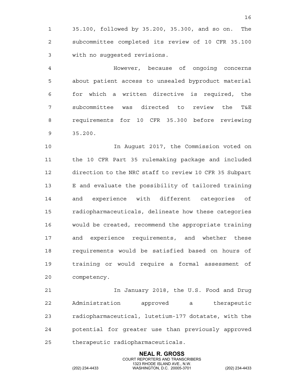1 35.100, followed by 35.200, 35.300, and so on. The 2 subcommittee completed its review of 10 CFR 35.100 3 with no suggested revisions.

4 However, because of ongoing concerns 5 about patient access to unsealed byproduct material 6 for which a written directive is required, the 7 subcommittee was directed to review the T&E 8 requirements for 10 CFR 35.300 before reviewing 9 35.200.

10 In August 2017, the Commission voted on 11 the 10 CFR Part 35 rulemaking package and included 12 direction to the NRC staff to review 10 CFR 35 Subpart 13 E and evaluate the possibility of tailored training 14 and experience with different categories of 15 radiopharmaceuticals, delineate how these categories 16 would be created, recommend the appropriate training 17 and experience requirements, and whether these 18 requirements would be satisfied based on hours of 19 training or would require a formal assessment of 20 competency.

21 In January 2018, the U.S. Food and Drug 22 Administration approved a therapeutic 23 radiopharmaceutical, lutetium-177 dotatate, with the 24 potential for greater use than previously approved 25 therapeutic radiopharmaceuticals.

> **NEAL R. GROSS** COURT REPORTERS AND TRANSCRIBERS

1323 RHODE ISLAND AVE., N.W.<br>WASHINGTON, D.C. 20005-3701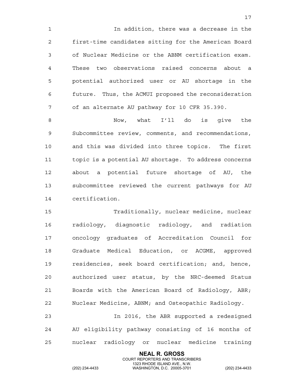1 In addition, there was a decrease in the 2 first-time candidates sitting for the American Board 3 of Nuclear Medicine or the ABNM certification exam. 4 These two observations raised concerns about a 5 potential authorized user or AU shortage in the 6 future. Thus, the ACMUI proposed the reconsideration 7 of an alternate AU pathway for 10 CFR 35.390.

8 Now, what I'll do is give the 9 Subcommittee review, comments, and recommendations, 10 and this was divided into three topics. The first 11 topic is a potential AU shortage. To address concerns 12 about a potential future shortage of AU, the 13 subcommittee reviewed the current pathways for AU 14 certification.

15 Traditionally, nuclear medicine, nuclear 16 radiology, diagnostic radiology, and radiation 17 oncology graduates of Accreditation Council for 18 Graduate Medical Education, or ACGME, approved 19 residencies, seek board certification; and, hence, 20 authorized user status, by the NRC-deemed Status 21 Boards with the American Board of Radiology, ABR; 22 Nuclear Medicine, ABNM; and Osteopathic Radiology.

23 In 2016, the ABR supported a redesigned 24 AU eligibility pathway consisting of 16 months of 25 nuclear radiology or nuclear medicine training

> **NEAL R. GROSS** COURT REPORTERS AND TRANSCRIBERS

1323 RHODE ISLAND AVE., N.W.<br>WASHINGTON, D.C. 20005-3701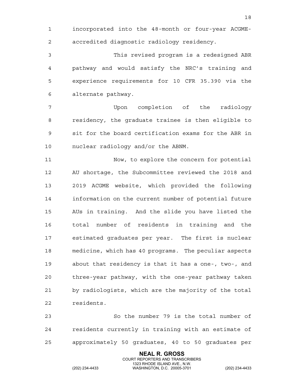1 incorporated into the 48-month or four-year ACGME-2 accredited diagnostic radiology residency.

3 This revised program is a redesigned ABR 4 pathway and would satisfy the NRC's training and 5 experience requirements for 10 CFR 35.390 via the 6 alternate pathway.

7 Upon completion of the radiology 8 residency, the graduate trainee is then eligible to 9 sit for the board certification exams for the ABR in 10 nuclear radiology and/or the ABNM.

11 Now, to explore the concern for potential 12 AU shortage, the Subcommittee reviewed the 2018 and 13 2019 ACGME website, which provided the following 14 information on the current number of potential future 15 AUs in training. And the slide you have listed the 16 total number of residents in training and the 17 estimated graduates per year. The first is nuclear 18 medicine, which has 40 programs. The peculiar aspects 19 about that residency is that it has a one-, two-, and 20 three-year pathway, with the one-year pathway taken 21 by radiologists, which are the majority of the total 22 residents.

23 So the number 79 is the total number of 24 residents currently in training with an estimate of 25 approximately 50 graduates, 40 to 50 graduates per

> **NEAL R. GROSS** COURT REPORTERS AND TRANSCRIBERS

1323 RHODE ISLAND AVE., N.W.<br>WASHINGTON, D.C. 20005-3701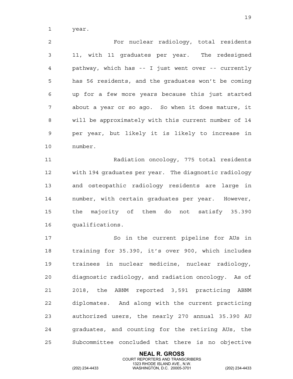1 year.

2 For nuclear radiology, total residents 3 11, with 11 graduates per year. The redesigned 4 pathway, which has -- I just went over -- currently 5 has 56 residents, and the graduates won't be coming 6 up for a few more years because this just started 7 about a year or so ago. So when it does mature, it 8 will be approximately with this current number of 14 9 per year, but likely it is likely to increase in 10 number.

11 Radiation oncology, 775 total residents 12 with 194 graduates per year. The diagnostic radiology 13 and osteopathic radiology residents are large in 14 number, with certain graduates per year. However, 15 the majority of them do not satisfy 35.390 16 qualifications.

17 So in the current pipeline for AUs in 18 training for 35.390, it's over 900, which includes 19 trainees in nuclear medicine, nuclear radiology, 20 diagnostic radiology, and radiation oncology. As of 21 2018, the ABNM reported 3,591 practicing ABNM 22 diplomates. And along with the current practicing 23 authorized users, the nearly 270 annual 35.390 AU 24 graduates, and counting for the retiring AUs, the 25 Subcommittee concluded that there is no objective

> **NEAL R. GROSS** COURT REPORTERS AND TRANSCRIBERS

1323 RHODE ISLAND AVE., N.W.<br>WASHINGTON, D.C. 20005-3701

(202) 234-4433 WASHINGTON, D.C. 20005-3701 (202) 234-4433

19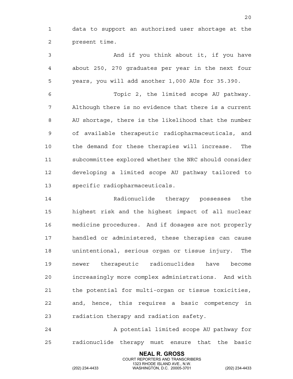1 data to support an authorized user shortage at the 2 present time.

3 And if you think about it, if you have 4 about 250, 270 graduates per year in the next four 5 years, you will add another 1,000 AUs for 35.390. 6 Topic 2, the limited scope AU pathway. 7 Although there is no evidence that there is a current 8 AU shortage, there is the likelihood that the number

9 of available therapeutic radiopharmaceuticals, and 10 the demand for these therapies will increase. The 11 subcommittee explored whether the NRC should consider 12 developing a limited scope AU pathway tailored to 13 specific radiopharmaceuticals.

14 Radionuclide therapy possesses the 15 highest risk and the highest impact of all nuclear 16 medicine procedures. And if dosages are not properly 17 handled or administered, these therapies can cause 18 unintentional, serious organ or tissue injury. The 19 newer therapeutic radionuclides have become 20 increasingly more complex administrations. And with 21 the potential for multi-organ or tissue toxicities, 22 and, hence, this requires a basic competency in 23 radiation therapy and radiation safety.

24 A potential limited scope AU pathway for 25 radionuclide therapy must ensure that the basic

> **NEAL R. GROSS** COURT REPORTERS AND TRANSCRIBERS

1323 RHODE ISLAND AVE., N.W.<br>WASHINGTON, D.C. 20005-3701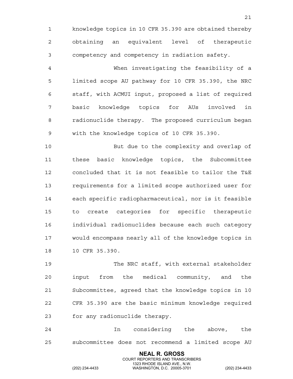1 knowledge topics in 10 CFR 35.390 are obtained thereby 2 obtaining an equivalent level of therapeutic 3 competency and competency in radiation safety.

4 When investigating the feasibility of a 5 limited scope AU pathway for 10 CFR 35.390, the NRC 6 staff, with ACMUI input, proposed a list of required 7 basic knowledge topics for AUs involved in 8 radionuclide therapy. The proposed curriculum began 9 with the knowledge topics of 10 CFR 35.390.

10 But due to the complexity and overlap of 11 these basic knowledge topics, the Subcommittee 12 concluded that it is not feasible to tailor the T&E 13 requirements for a limited scope authorized user for 14 each specific radiopharmaceutical, nor is it feasible 15 to create categories for specific therapeutic 16 individual radionuclides because each such category 17 would encompass nearly all of the knowledge topics in 18 10 CFR 35.390.

19 The NRC staff, with external stakeholder 20 input from the medical community, and the 21 Subcommittee, agreed that the knowledge topics in 10 22 CFR 35.390 are the basic minimum knowledge required 23 for any radionuclide therapy.

24 In considering the above, the 25 subcommittee does not recommend a limited scope AU

> **NEAL R. GROSS** COURT REPORTERS AND TRANSCRIBERS

1323 RHODE ISLAND AVE., N.W.<br>WASHINGTON, D.C. 20005-3701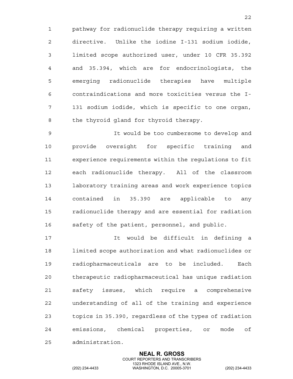1 pathway for radionuclide therapy requiring a written 2 directive. Unlike the iodine I-131 sodium iodide, 3 limited scope authorized user, under 10 CFR 35.392 4 and 35.394, which are for endocrinologists, the 5 emerging radionuclide therapies have multiple 6 contraindications and more toxicities versus the I-7 131 sodium iodide, which is specific to one organ, 8 the thyroid gland for thyroid therapy.

9 It would be too cumbersome to develop and 10 provide oversight for specific training and 11 experience requirements within the regulations to fit 12 each radionuclide therapy. All of the classroom 13 laboratory training areas and work experience topics 14 contained in 35.390 are applicable to any 15 radionuclide therapy and are essential for radiation 16 safety of the patient, personnel, and public.

17 It would be difficult in defining a 18 limited scope authorization and what radionuclides or 19 radiopharmaceuticals are to be included. Each 20 therapeutic radiopharmaceutical has unique radiation 21 safety issues, which require a comprehensive 22 understanding of all of the training and experience 23 topics in 35.390, regardless of the types of radiation 24 emissions, chemical properties, or mode of 25 administration.

> **NEAL R. GROSS** COURT REPORTERS AND TRANSCRIBERS

1323 RHODE ISLAND AVE., N.W.<br>WASHINGTON, D.C. 20005-3701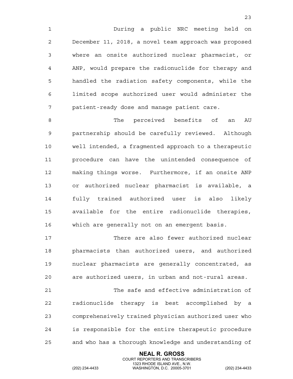1 During a public NRC meeting held on 2 December 11, 2018, a novel team approach was proposed 3 where an onsite authorized nuclear pharmacist, or 4 ANP, would prepare the radionuclide for therapy and 5 handled the radiation safety components, while the 6 limited scope authorized user would administer the 7 patient-ready dose and manage patient care.

8 The perceived benefits of an AU 9 partnership should be carefully reviewed. Although 10 well intended, a fragmented approach to a therapeutic 11 procedure can have the unintended consequence of 12 making things worse. Furthermore, if an onsite ANP 13 or authorized nuclear pharmacist is available, a 14 fully trained authorized user is also likely 15 available for the entire radionuclide therapies, 16 which are generally not on an emergent basis.

17 There are also fewer authorized nuclear 18 pharmacists than authorized users, and authorized 19 nuclear pharmacists are generally concentrated, as 20 are authorized users, in urban and not-rural areas.

21 The safe and effective administration of 22 radionuclide therapy is best accomplished by a 23 comprehensively trained physician authorized user who 24 is responsible for the entire therapeutic procedure 25 and who has a thorough knowledge and understanding of

> **NEAL R. GROSS** COURT REPORTERS AND TRANSCRIBERS

1323 RHODE ISLAND AVE., N.W.<br>WASHINGTON, D.C. 20005-3701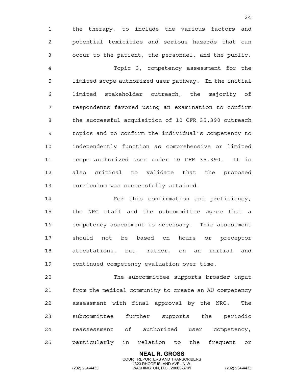1 the therapy, to include the various factors and 2 potential toxicities and serious hazards that can 3 occur to the patient, the personnel, and the public.

4 Topic 3, competency assessment for the 5 limited scope authorized user pathway. In the initial 6 limited stakeholder outreach, the majority of 7 respondents favored using an examination to confirm 8 the successful acquisition of 10 CFR 35.390 outreach 9 topics and to confirm the individual's competency to 10 independently function as comprehensive or limited 11 scope authorized user under 10 CFR 35.390. It is 12 also critical to validate that the proposed 13 curriculum was successfully attained.

14 For this confirmation and proficiency, 15 the NRC staff and the subcommittee agree that a 16 competency assessment is necessary. This assessment 17 should not be based on hours or preceptor 18 attestations, but, rather, on an initial and 19 continued competency evaluation over time.

20 The subcommittee supports broader input 21 from the medical community to create an AU competency 22 assessment with final approval by the NRC. The 23 subcommittee further supports the periodic 24 reassessment of authorized user competency, 25 particularly in relation to the frequent or

> **NEAL R. GROSS** COURT REPORTERS AND TRANSCRIBERS

1323 RHODE ISLAND AVE., N.W.<br>WASHINGTON, D.C. 20005-3701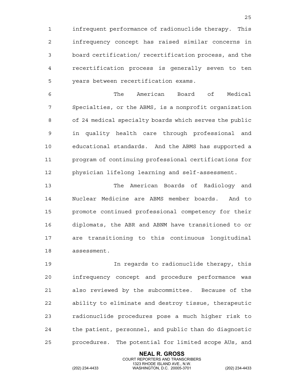1 infrequent performance of radionuclide therapy. This 2 infrequency concept has raised similar concerns in 3 board certification/ recertification process, and the 4 recertification process is generally seven to ten 5 years between recertification exams.

6 The American Board of Medical 7 Specialties, or the ABMS, is a nonprofit organization 8 of 24 medical specialty boards which serves the public 9 in quality health care through professional and 10 educational standards. And the ABMS has supported a 11 program of continuing professional certifications for 12 physician lifelong learning and self-assessment.

13 The American Boards of Radiology and 14 Nuclear Medicine are ABMS member boards. And to 15 promote continued professional competency for their 16 diplomats, the ABR and ABNM have transitioned to or 17 are transitioning to this continuous longitudinal 18 assessment.

19 In regards to radionuclide therapy, this 20 infrequency concept and procedure performance was 21 also reviewed by the subcommittee. Because of the 22 ability to eliminate and destroy tissue, therapeutic 23 radionuclide procedures pose a much higher risk to 24 the patient, personnel, and public than do diagnostic 25 procedures. The potential for limited scope AUs, and

> **NEAL R. GROSS** COURT REPORTERS AND TRANSCRIBERS

1323 RHODE ISLAND AVE., N.W.<br>WASHINGTON, D.C. 20005-3701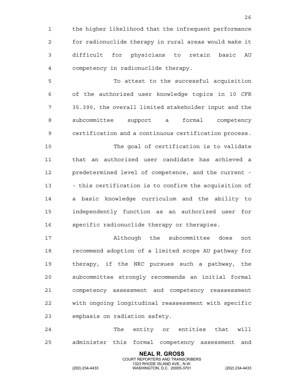1 the higher likelihood that the infrequent performance 2 for radionuclide therapy in rural areas would make it 3 difficult for physicians to retain basic AU 4 competency in radionuclide therapy.

5 To attest to the successful acquisition 6 of the authorized user knowledge topics in 10 CFR 7 35.390, the overall limited stakeholder input and the 8 subcommittee support a formal competency 9 certification and a continuous certification process. 10 The goal of certification is to validate 11 that an authorized user candidate has achieved a 12 predetermined level of competence, and the current - 13 - this certification is to confirm the acquisition of 14 a basic knowledge curriculum and the ability to 15 independently function as an authorized user for 16 specific radionuclide therapy or therapies.

17 Although the subcommittee does not 18 recommend adoption of a limited scope AU pathway for 19 therapy, if the NRC pursues such a pathway, the 20 subcommittee strongly recommends an initial formal 21 competency assessment and competency reassessment 22 with ongoing longitudinal reassessment with specific 23 emphasis on radiation safety.

24 The entity or entities that will 25 administer this formal competency assessment and

> **NEAL R. GROSS** COURT REPORTERS AND TRANSCRIBERS

1323 RHODE ISLAND AVE., N.W.<br>WASHINGTON, D.C. 20005-3701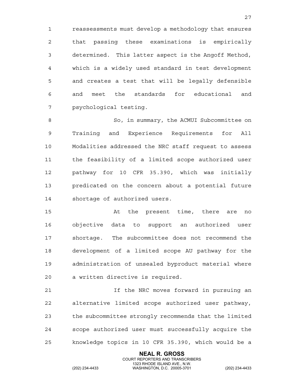1 reassessments must develop a methodology that ensures 2 that passing these examinations is empirically 3 determined. This latter aspect is the Angoff Method, 4 which is a widely used standard in test development 5 and creates a test that will be legally defensible 6 and meet the standards for educational and 7 psychological testing.

8 So, in summary, the ACMUI Subcommittee on 9 Training and Experience Requirements for All 10 Modalities addressed the NRC staff request to assess 11 the feasibility of a limited scope authorized user 12 pathway for 10 CFR 35.390, which was initially 13 predicated on the concern about a potential future 14 shortage of authorized users.

15 At the present time, there are no 16 objective data to support an authorized user 17 shortage. The subcommittee does not recommend the 18 development of a limited scope AU pathway for the 19 administration of unsealed byproduct material where 20 a written directive is required.

21 If the NRC moves forward in pursuing an 22 alternative limited scope authorized user pathway, 23 the subcommittee strongly recommends that the limited 24 scope authorized user must successfully acquire the 25 knowledge topics in 10 CFR 35.390, which would be a

> **NEAL R. GROSS** COURT REPORTERS AND TRANSCRIBERS

1323 RHODE ISLAND AVE., N.W.<br>WASHINGTON, D.C. 20005-3701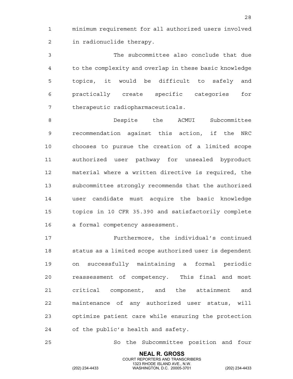1 minimum requirement for all authorized users involved 2 in radionuclide therapy.

3 The subcommittee also conclude that due 4 to the complexity and overlap in these basic knowledge 5 topics, it would be difficult to safely and 6 practically create specific categories for 7 therapeutic radiopharmaceuticals.

8 Despite the ACMUI Subcommittee 9 recommendation against this action, if the NRC 10 chooses to pursue the creation of a limited scope 11 authorized user pathway for unsealed byproduct 12 material where a written directive is required, the 13 subcommittee strongly recommends that the authorized 14 user candidate must acquire the basic knowledge 15 topics in 10 CFR 35.390 and satisfactorily complete 16 a formal competency assessment.

17 Furthermore, the individual's continued 18 status as a limited scope authorized user is dependent 19 on successfully maintaining a formal periodic 20 reassessment of competency. This final and most 21 critical component, and the attainment and 22 maintenance of any authorized user status, will 23 optimize patient care while ensuring the protection 24 of the public's health and safety.

25 So the Subcommittee position and four

**NEAL R. GROSS** COURT REPORTERS AND TRANSCRIBERS

1323 RHODE ISLAND AVE., N.W.<br>WASHINGTON, D.C. 20005-3701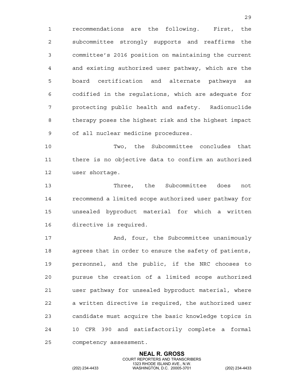1 recommendations are the following. First, the 2 subcommittee strongly supports and reaffirms the 3 committee's 2016 position on maintaining the current 4 and existing authorized user pathway, which are the 5 board certification and alternate pathways as 6 codified in the regulations, which are adequate for 7 protecting public health and safety. Radionuclide 8 therapy poses the highest risk and the highest impact 9 of all nuclear medicine procedures.

10 Two, the Subcommittee concludes that 11 there is no objective data to confirm an authorized 12 user shortage.

13 Three, the Subcommittee does not 14 recommend a limited scope authorized user pathway for 15 unsealed byproduct material for which a written 16 directive is required.

17 And, four, the Subcommittee unanimously 18 agrees that in order to ensure the safety of patients, 19 personnel, and the public, if the NRC chooses to 20 pursue the creation of a limited scope authorized 21 user pathway for unsealed byproduct material, where 22 a written directive is required, the authorized user 23 candidate must acquire the basic knowledge topics in 24 10 CFR 390 and satisfactorily complete a formal 25 competency assessment.

> **NEAL R. GROSS** COURT REPORTERS AND TRANSCRIBERS

1323 RHODE ISLAND AVE., N.W.<br>WASHINGTON, D.C. 20005-3701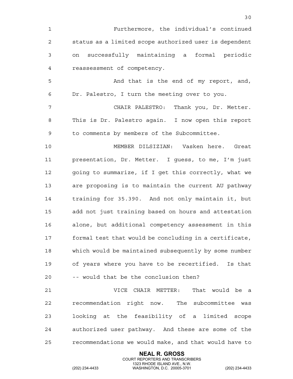1 Furthermore, the individual's continued 2 status as a limited scope authorized user is dependent 3 on successfully maintaining a formal periodic 4 reassessment of competency. 5 And that is the end of my report, and, 6 Dr. Palestro, I turn the meeting over to you. 7 CHAIR PALESTRO: Thank you, Dr. Metter. 8 This is Dr. Palestro again. I now open this report 9 to comments by members of the Subcommittee. 10 MEMBER DILSIZIAN: Vasken here. Great 11 presentation, Dr. Metter. I guess, to me, I'm just 12 going to summarize, if I get this correctly, what we 13 are proposing is to maintain the current AU pathway 14 training for 35.390. And not only maintain it, but 15 add not just training based on hours and attestation 16 alone, but additional competency assessment in this 17 formal test that would be concluding in a certificate, 18 which would be maintained subsequently by some number 19 of years where you have to be recertified. Is that 20 -- would that be the conclusion then? 21 VICE CHAIR METTER: That would be a 22 recommendation right now. The subcommittee was 23 looking at the feasibility of a limited scope 24 authorized user pathway. And these are some of the 25 recommendations we would make, and that would have to

> **NEAL R. GROSS** COURT REPORTERS AND TRANSCRIBERS

30

1323 RHODE ISLAND AVE., N.W.<br>WASHINGTON, D.C. 20005-3701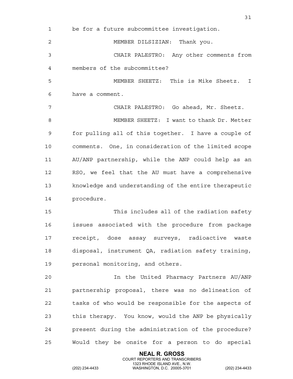| 1  | be for a future subcommittee investigation.           |
|----|-------------------------------------------------------|
| 2  | MEMBER DILSIZIAN: Thank you.                          |
| 3  | CHAIR PALESTRO: Any other comments from               |
| 4  | members of the subcommittee?                          |
| 5  | MEMBER SHEETZ: This is Mike Sheetz. I                 |
| 6  | have a comment.                                       |
| 7  | CHAIR PALESTRO: Go ahead, Mr. Sheetz.                 |
| 8  | MEMBER SHEETZ: I want to thank Dr. Metter             |
| 9  | for pulling all of this together. I have a couple of  |
| 10 | comments. One, in consideration of the limited scope  |
| 11 | AU/ANP partnership, while the ANP could help as an    |
| 12 | RSO, we feel that the AU must have a comprehensive    |
| 13 | knowledge and understanding of the entire therapeutic |
| 14 | procedure.                                            |
| 15 | This includes all of the radiation safety             |
| 16 | issues associated with the procedure from package     |
| 17 | radioactive waste<br>receipt, dose assay surveys,     |
| 18 | disposal, instrument QA, radiation safety training,   |
| 19 | personal monitoring, and others.                      |
| 20 | In the United Pharmacy Partners AU/ANP                |
| 21 | partnership proposal, there was no delineation of     |
| 22 | tasks of who would be responsible for the aspects of  |
| 23 | this therapy. You know, would the ANP be physically   |
| 24 | present during the administration of the procedure?   |
| 25 | Would they be onsite for a person to do special       |

**NEAL R. GROSS**

 COURT REPORTERS AND TRANSCRIBERS 1323 RHODE ISLAND AVE., N.W.

31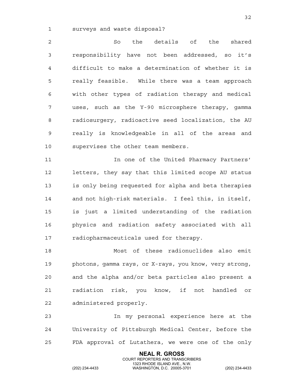1 surveys and waste disposal?

2 So the details of the shared 3 responsibility have not been addressed, so it's 4 difficult to make a determination of whether it is 5 really feasible. While there was a team approach 6 with other types of radiation therapy and medical 7 uses, such as the Y-90 microsphere therapy, gamma 8 radiosurgery, radioactive seed localization, the AU 9 really is knowledgeable in all of the areas and 10 supervises the other team members.

11 In one of the United Pharmacy Partners' 12 letters, they say that this limited scope AU status 13 is only being requested for alpha and beta therapies 14 and not high-risk materials. I feel this, in itself, 15 is just a limited understanding of the radiation 16 physics and radiation safety associated with all 17 radiopharmaceuticals used for therapy.

18 Most of these radionuclides also emit 19 photons, gamma rays, or X-rays, you know, very strong, 20 and the alpha and/or beta particles also present a 21 radiation risk, you know, if not handled or 22 administered properly.

23 In my personal experience here at the 24 University of Pittsburgh Medical Center, before the 25 FDA approval of Lutathera, we were one of the only

> **NEAL R. GROSS** COURT REPORTERS AND TRANSCRIBERS

1323 RHODE ISLAND AVE., N.W.<br>WASHINGTON, D.C. 20005-3701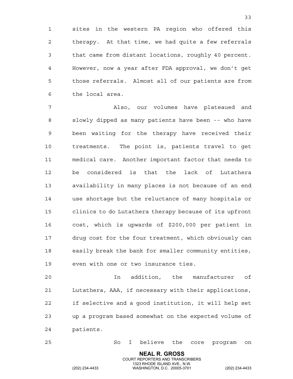1 sites in the western PA region who offered this 2 therapy. At that time, we had quite a few referrals 3 that came from distant locations, roughly 40 percent. 4 However, now a year after FDA approval, we don't get 5 those referrals. Almost all of our patients are from 6 the local area.

7 Also, our volumes have plateaued and 8 slowly dipped as many patients have been -- who have 9 been waiting for the therapy have received their 10 treatments. The point is, patients travel to get 11 medical care. Another important factor that needs to 12 be considered is that the lack of Lutathera 13 availability in many places is not because of an end 14 use shortage but the reluctance of many hospitals or 15 clinics to do Lutathera therapy because of its upfront 16 cost, which is upwards of \$200,000 per patient in 17 drug cost for the four treatment, which obviously can 18 easily break the bank for smaller community entities, 19 even with one or two insurance ties.

20 In addition, the manufacturer of 21 Lutathera, AAA, if necessary with their applications, 22 if selective and a good institution, it will help set 23 up a program based somewhat on the expected volume of 24 patients.

25 So I believe the core program on

**NEAL R. GROSS** COURT REPORTERS AND TRANSCRIBERS

1323 RHODE ISLAND AVE., N.W.<br>WASHINGTON, D.C. 20005-3701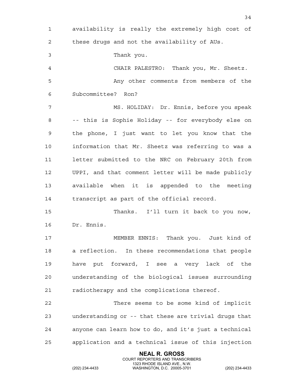1 availability is really the extremely high cost of 2 these drugs and not the availability of AUs. 3 Thank you. 4 CHAIR PALESTRO: Thank you, Mr. Sheetz. 5 Any other comments from members of the 6 Subcommittee? Ron? 7 MS. HOLIDAY: Dr. Ennis, before you speak 8 -- this is Sophie Holiday -- for everybody else on 9 the phone, I just want to let you know that the 10 information that Mr. Sheetz was referring to was a 11 letter submitted to the NRC on February 20th from 12 UPPI, and that comment letter will be made publicly 13 available when it is appended to the meeting 14 transcript as part of the official record. 15 Thanks. I'll turn it back to you now, 16 Dr. Ennis. 17 MEMBER ENNIS: Thank you. Just kind of 18 a reflection. In these recommendations that people 19 have put forward, I see a very lack of the 20 understanding of the biological issues surrounding 21 radiotherapy and the complications thereof. 22 There seems to be some kind of implicit 23 understanding or -- that these are trivial drugs that 24 anyone can learn how to do, and it's just a technical 25 application and a technical issue of this injection

> **NEAL R. GROSS** COURT REPORTERS AND TRANSCRIBERS

34

1323 RHODE ISLAND AVE., N.W.<br>WASHINGTON, D.C. 20005-3701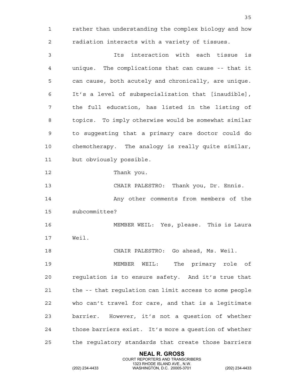**NEAL R. GROSS** 1 rather than understanding the complex biology and how 2 radiation interacts with a variety of tissues. 3 Its interaction with each tissue is 4 unique. The complications that can cause -- that it 5 can cause, both acutely and chronically, are unique. 6 It's a level of subspecialization that [inaudible], 7 the full education, has listed in the listing of 8 topics. To imply otherwise would be somewhat similar 9 to suggesting that a primary care doctor could do 10 chemotherapy. The analogy is really quite similar, 11 but obviously possible. 12 Thank you. 13 CHAIR PALESTRO: Thank you, Dr. Ennis. 14 Any other comments from members of the 15 subcommittee? 16 MEMBER WEIL: Yes, please. This is Laura 17 Weil. 18 CHAIR PALESTRO: Go ahead, Ms. Weil. 19 MEMBER WEIL: The primary role of 20 regulation is to ensure safety. And it's true that 21 the -- that regulation can limit access to some people 22 who can't travel for care, and that is a legitimate 23 barrier. However, it's not a question of whether 24 those barriers exist. It's more a question of whether 25 the regulatory standards that create those barriers

COURT REPORTERS AND TRANSCRIBERS

35

1323 RHODE ISLAND AVE., N.W.<br>WASHINGTON, D.C. 20005-3701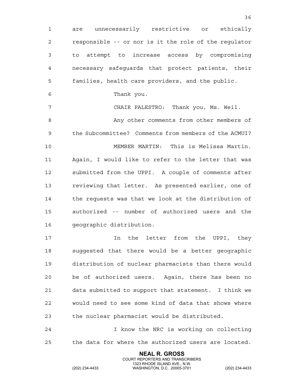1 are unnecessarily restrictive or ethically 2 responsible -- or nor is it the role of the regulator 3 to attempt to increase access by compromising 4 necessary safeguards that protect patients, their 5 families, health care providers, and the public. 6 Thank you. 7 CHAIR PALESTRO: Thank you, Ms. Weil. 8 Any other comments from other members of 9 the Subcommittee? Comments from members of the ACMUI? 10 MEMBER MARTIN: This is Melissa Martin. 11 Again, I would like to refer to the letter that was 12 submitted from the UPPI. A couple of comments after 13 reviewing that letter. As presented earlier, one of 14 the requests was that we look at the distribution of 15 authorized -- number of authorized users and the 16 geographic distribution. 17 10 In the letter from the UPPI, they 18 suggested that there would be a better geographic 19 distribution of nuclear pharmacists than there would 20 be of authorized users. Again, there has been no 21 data submitted to support that statement. I think we 22 would need to see some kind of data that shows where

36

23 the nuclear pharmacist would be distributed.

24 I know the NRC is working on collecting 25 the data for where the authorized users are located.

> **NEAL R. GROSS** COURT REPORTERS AND TRANSCRIBERS

1323 RHODE ISLAND AVE., N.W.<br>WASHINGTON, D.C. 20005-3701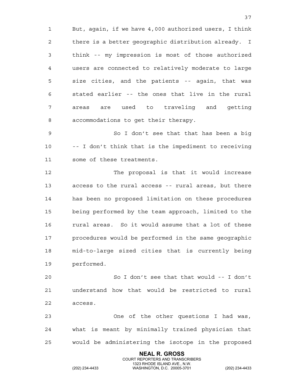1 But, again, if we have 4,000 authorized users, I think 2 there is a better geographic distribution already. I 3 think -- my impression is most of those authorized 4 users are connected to relatively moderate to large 5 size cities, and the patients -- again, that was 6 stated earlier -- the ones that live in the rural 7 areas are used to traveling and getting 8 accommodations to get their therapy.

9 So I don't see that that has been a big 10 -- I don't think that is the impediment to receiving 11 some of these treatments.

12 The proposal is that it would increase 13 access to the rural access -- rural areas, but there 14 has been no proposed limitation on these procedures 15 being performed by the team approach, limited to the 16 rural areas. So it would assume that a lot of these 17 procedures would be performed in the same geographic 18 mid-to-large sized cities that is currently being 19 performed.

20 So I don't see that that would -- I don't 21 understand how that would be restricted to rural 22 access.

23 One of the other questions I had was, 24 what is meant by minimally trained physician that 25 would be administering the isotope in the proposed

> **NEAL R. GROSS** COURT REPORTERS AND TRANSCRIBERS

1323 RHODE ISLAND AVE., N.W.<br>WASHINGTON, D.C. 20005-3701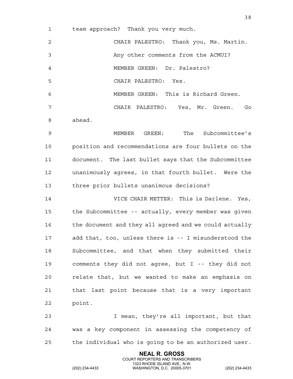1 team approach? Thank you very much.

2 CHAIR PALESTRO: Thank you, Ms. Martin. 3 Any other comments from the ACMUI? 4 MEMBER GREEN: Dr. Palestro? 5 CHAIR PALESTRO: Yes. 6 MEMBER GREEN: This is Richard Green. 7 CHAIR PALESTRO: Yes, Mr. Green. Go 8 ahead. 9 MEMBER GREEN: The Subcommittee's 10 position and recommendations are four bullets on the

11 document. The last bullet says that the Subcommittee 12 unanimously agrees, in that fourth bullet. Were the 13 three prior bullets unanimous decisions?

14 VICE CHAIR METTER: This is Darlene. Yes, 15 the Subcommittee -- actually, every member was given 16 the document and they all agreed and we could actually 17 add that, too, unless there is -- I misunderstood the 18 Subcommittee, and that when they submitted their 19 comments they did not agree, but I -- they did not 20 relate that, but we wanted to make an emphasis on 21 that last point because that is a very important 22 point.

23 I mean, they're all important, but that 24 was a key component in assessing the competency of 25 the individual who is going to be an authorized user.

> **NEAL R. GROSS** COURT REPORTERS AND TRANSCRIBERS

1323 RHODE ISLAND AVE., N.W.<br>WASHINGTON, D.C. 20005-3701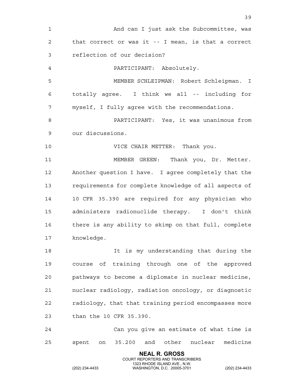**NEAL R. GROSS** 1 And can I just ask the Subcommittee, was 2 that correct or was it -- I mean, is that a correct 3 reflection of our decision? 4 PARTICIPANT: Absolutely. 5 MEMBER SCHLEIPMAN: Robert Schleipman. I 6 totally agree. I think we all -- including for 7 myself, I fully agree with the recommendations. 8 PARTICIPANT: Yes, it was unanimous from 9 our discussions. 10 VICE CHAIR METTER: Thank you. 11 MEMBER GREEN: Thank you, Dr. Metter. 12 Another question I have. I agree completely that the 13 requirements for complete knowledge of all aspects of 14 10 CFR 35.390 are required for any physician who 15 administers radionuclide therapy. I don't think 16 there is any ability to skimp on that full, complete 17 knowledge. 18 It is my understanding that during the 19 course of training through one of the approved 20 pathways to become a diplomate in nuclear medicine, 21 nuclear radiology, radiation oncology, or diagnostic 22 radiology, that that training period encompasses more 23 than the 10 CFR 35.390. 24 Can you give an estimate of what time is 25 spent on 35.200 and other nuclear medicine

COURT REPORTERS AND TRANSCRIBERS

39

1323 RHODE ISLAND AVE., N.W.<br>WASHINGTON, D.C. 20005-3701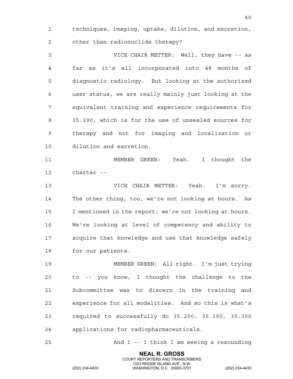1 techniques, imaging, uptake, dilution, and excretion, 2 other than radionuclide therapy?

3 VICE CHAIR METTER: Well, they have -- as 4 far as it's all incorporated into 48 months of 5 diagnostic radiology. But looking at the authorized 6 user status, we are really mainly just looking at the 7 equivalent training and experience requirements for 8 35.390, which is for the use of unsealed sources for 9 therapy and not for imaging and localization or 10 dilution and excretion.

11 MEMBER GREEN: Yeah. I thought the 12 charter --

13 VICE CHAIR METTER: Yeah. I'm sorry. 14 The other thing, too, we're not looking at hours. As 15 I mentioned in the report, we're not looking at hours. 16 We're looking at level of competency and ability to 17 acquire that knowledge and use that knowledge safely 18 for our patients.

19 MEMBER GREEN: All right. I'm just trying 20 to -- you know, I thought the challenge to the 21 Subcommittee was to discern in the training and 22 experience for all modalities. And so this is what's 23 required to successfully do 35.200, 35.100, 35.300 24 applications for radiopharmaceuticals.

25 And I -- I think I am seeing a resounding

**NEAL R. GROSS** COURT REPORTERS AND TRANSCRIBERS

1323 RHODE ISLAND AVE., N.W.<br>WASHINGTON, D.C. 20005-3701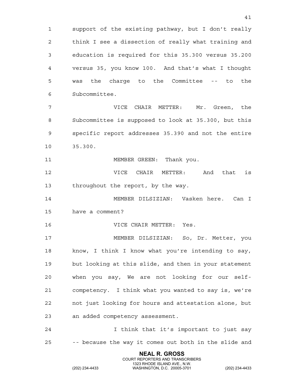1 support of the existing pathway, but I don't really 2 think I see a dissection of really what training and 3 education is required for this 35.300 versus 35.200 4 versus 35, you know 100. And that's what I thought 5 was the charge to the Committee -- to the 6 Subcommittee.

7 VICE CHAIR METTER: Mr. Green, the 8 Subcommittee is supposed to look at 35.300, but this 9 specific report addresses 35.390 and not the entire 10 35.300.

11 MEMBER GREEN: Thank you.

12 VICE CHAIR METTER: And that is 13 throughout the report, by the way.

14 MEMBER DILSIZIAN: Vasken here. Can I 15 have a comment?

16 VICE CHAIR METTER: Yes.

17 MEMBER DILSIZIAN: So, Dr. Metter, you 18 know, I think I know what you're intending to say, 19 but looking at this slide, and then in your statement 20 when you say, We are not looking for our self-21 competency. I think what you wanted to say is, we're 22 not just looking for hours and attestation alone, but 23 an added competency assessment.

24 I think that it's important to just say 25 -- because the way it comes out both in the slide and

> **NEAL R. GROSS** COURT REPORTERS AND TRANSCRIBERS

1323 RHODE ISLAND AVE., N.W.<br>WASHINGTON, D.C. 20005-3701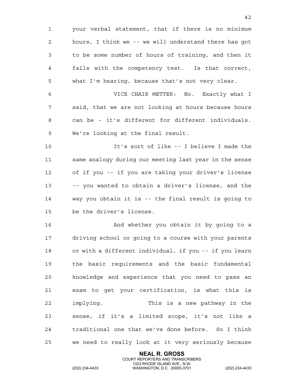1 your verbal statement, that if there is no minimum 2 hours, I think we -- we will understand there has got 3 to be some number of hours of training, and then it 4 falls with the competency test. Is that correct, 5 what I'm hearing, because that's not very clear. 6 VICE CHAIR METTER: No. Exactly what I 7 said, that we are not looking at hours because hours 8 can be - it's different for different individuals. 9 We're looking at the final result. 10 It's sort of like -- I believe I made the 11 same analogy during our meeting last year in the sense 12 of if you -- if you are taking your driver's license 13 -- you wanted to obtain a driver's license, and the 14 way you obtain it is -- the final result is going to 15 be the driver's license. 16 And whether you obtain it by going to a 17 driving school or going to a course with your parents 18 or with a different individual, if you -- if you learn 19 the basic requirements and the basic fundamental 20 knowledge and experience that you need to pass an 21 exam to get your certification, is what this is 22 implying. This is a new pathway in the 23 sense, if it's a limited scope, it's not like a 24 traditional one that we've done before. So I think 25 we need to really look at it very seriously because

> **NEAL R. GROSS** COURT REPORTERS AND TRANSCRIBERS

42

1323 RHODE ISLAND AVE., N.W.<br>WASHINGTON, D.C. 20005-3701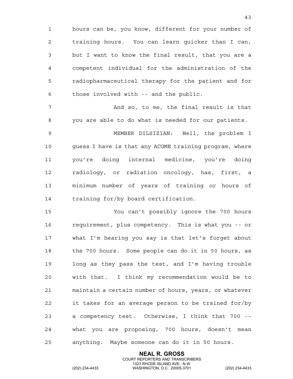1 hours can be, you know, different for your number of 2 training hours. You can learn quicker than I can, 3 but I want to know the final result, that you are a 4 competent individual for the administration of the 5 radiopharmaceutical therapy for the patient and for 6 those involved with -- and the public.

7 And so, to me, the final result is that 8 you are able to do what is needed for our patients.

9 MEMBER DILSIZIAN: Well, the problem I 10 guess I have is that any ACGME training program, where 11 you're doing internal medicine, you're doing 12 radiology, or radiation oncology, has, first, a 13 minimum number of years of training or hours of 14 training for/by board certification.

15 You can't possibly ignore the 700 hours 16 requirement, plus competency. This is what you -- or 17 what I'm hearing you say is that let's forget about 18 the 700 hours. Some people can do it in 50 hours, as 19 long as they pass the test, and I'm having trouble 20 with that. I think my recommendation would be to 21 maintain a certain number of hours, years, or whatever 22 it takes for an average person to be trained for/by 23 a competency test. Otherwise, I think that 700 -- 24 what you are proposing, 700 hours, doesn't mean 25 anything. Maybe someone can do it in 50 hours.

> **NEAL R. GROSS** COURT REPORTERS AND TRANSCRIBERS

1323 RHODE ISLAND AVE., N.W.<br>WASHINGTON, D.C. 20005-3701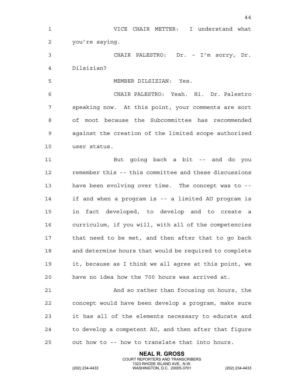44 1 VICE CHAIR METTER: I understand what 2 you're saying. 3 CHAIR PALESTRO: Dr. - I'm sorry, Dr. 4 Dilsizian? 5 MEMBER DILSIZIAN: Yes. 6 CHAIR PALESTRO: Yeah. Hi. Dr. Palestro 7 speaking now. At this point, your comments are sort 8 of moot because the Subcommittee has recommended 9 against the creation of the limited scope authorized 10 user status. 11 But going back a bit -- and do you 12 remember this -- this committee and these discussions 13 have been evolving over time. The concept was to -- 14 if and when a program is -- a limited AU program is 15 in fact developed, to develop and to create a 16 curriculum, if you will, with all of the competencies 17 that need to be met, and then after that to go back 18 and determine hours that would be required to complete 19 it, because as I think we all agree at this point, we 20 have no idea how the 700 hours was arrived at. 21 And so rather than focusing on hours, the 22 concept would have been develop a program, make sure 23 it has all of the elements necessary to educate and 24 to develop a competent AU, and then after that figure

25 out how to -- how to translate that into hours.

**NEAL R. GROSS** COURT REPORTERS AND TRANSCRIBERS

1323 RHODE ISLAND AVE., N.W.<br>WASHINGTON, D.C. 20005-3701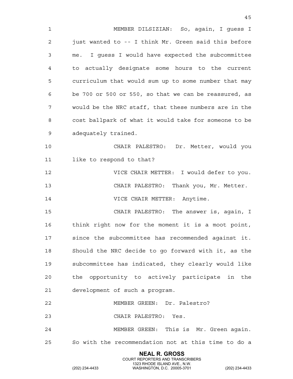1 MEMBER DILSIZIAN: So, again, I guess I 2 just wanted to -- I think Mr. Green said this before 3 me. I guess I would have expected the subcommittee 4 to actually designate some hours to the current 5 curriculum that would sum up to some number that may 6 be 700 or 500 or 550, so that we can be reassured, as 7 would be the NRC staff, that these numbers are in the 8 cost ballpark of what it would take for someone to be 9 adequately trained. 10 CHAIR PALESTRO: Dr. Metter, would you 11 like to respond to that? 12 VICE CHAIR METTER: I would defer to you. 13 CHAIR PALESTRO: Thank you, Mr. Metter. 14 **VICE CHAIR METTER:** Anytime. 15 CHAIR PALESTRO: The answer is, again, I 16 think right now for the moment it is a moot point, 17 since the subcommittee has recommended against it. 18 Should the NRC decide to go forward with it, as the 19 subcommittee has indicated, they clearly would like 20 the opportunity to actively participate in the 21 development of such a program. 22 MEMBER GREEN: Dr. Palestro? 23 CHAIR PALESTRO: Yes. 24 MEMBER GREEN: This is Mr. Green again. 25 So with the recommendation not at this time to do a

> **NEAL R. GROSS** COURT REPORTERS AND TRANSCRIBERS

45

1323 RHODE ISLAND AVE., N.W.<br>WASHINGTON, D.C. 20005-3701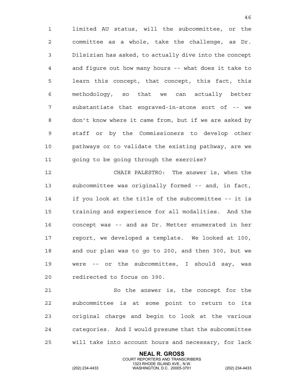1 limited AU status, will the subcommittee, or the 2 committee as a whole, take the challenge, as Dr. 3 Dilsizian has asked, to actually dive into the concept 4 and figure out how many hours -- what does it take to 5 learn this concept, that concept, this fact, this 6 methodology, so that we can actually better 7 substantiate that engraved-in-stone sort of -- we 8 don't know where it came from, but if we are asked by 9 staff or by the Commissioners to develop other 10 pathways or to validate the existing pathway, are we 11 going to be going through the exercise?

12 CHAIR PALESTRO: The answer is, when the 13 subcommittee was originally formed -- and, in fact, 14 if you look at the title of the subcommittee -- it is 15 training and experience for all modalities. And the 16 concept was -- and as Dr. Metter enumerated in her 17 report, we developed a template. We looked at 100, 18 and our plan was to go to 200, and then 300, but we 19 were -- or the subcommittee, I should say, was 20 redirected to focus on 390.

21 So the answer is, the concept for the 22 subcommittee is at some point to return to its 23 original charge and begin to look at the various 24 categories. And I would presume that the subcommittee 25 will take into account hours and necessary, for lack

> **NEAL R. GROSS** COURT REPORTERS AND TRANSCRIBERS

1323 RHODE ISLAND AVE., N.W.<br>WASHINGTON, D.C. 20005-3701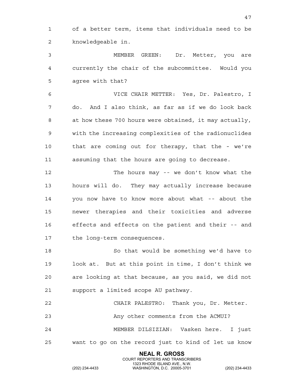1 of a better term, items that individuals need to be 2 knowledgeable in.

3 MEMBER GREEN: Dr. Metter, you are 4 currently the chair of the subcommittee. Would you 5 agree with that?

6 VICE CHAIR METTER: Yes, Dr. Palestro, I 7 do. And I also think, as far as if we do look back 8 at how these 700 hours were obtained, it may actually, 9 with the increasing complexities of the radionuclides 10 that are coming out for therapy, that the - we're 11 assuming that the hours are going to decrease.

12 The hours may -- we don't know what the 13 hours will do. They may actually increase because 14 you now have to know more about what -- about the 15 newer therapies and their toxicities and adverse 16 effects and effects on the patient and their -- and 17 the long-term consequences.

18 So that would be something we'd have to 19 look at. But at this point in time, I don't think we 20 are looking at that because, as you said, we did not 21 support a limited scope AU pathway.

22 CHAIR PALESTRO: Thank you, Dr. Metter. 23 Any other comments from the ACMUI?

24 MEMBER DILSIZIAN: Vasken here. I just 25 want to go on the record just to kind of let us know

> **NEAL R. GROSS** COURT REPORTERS AND TRANSCRIBERS

1323 RHODE ISLAND AVE., N.W.<br>WASHINGTON, D.C. 20005-3701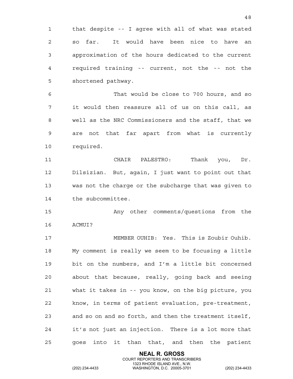1 that despite -- I agree with all of what was stated 2 so far. It would have been nice to have an 3 approximation of the hours dedicated to the current 4 required training -- current, not the -- not the 5 shortened pathway.

6 That would be close to 700 hours, and so 7 it would then reassure all of us on this call, as 8 well as the NRC Commissioners and the staff, that we 9 are not that far apart from what is currently 10 required.

11 CHAIR PALESTRO: Thank you, Dr. 12 Dilsizian. But, again, I just want to point out that 13 was not the charge or the subcharge that was given to 14 the subcommittee.

15 Any other comments/questions from the 16 ACMUI?

17 MEMBER OUHIB: Yes. This is Zoubir Ouhib. 18 My comment is really we seem to be focusing a little 19 bit on the numbers, and I'm a little bit concerned 20 about that because, really, going back and seeing 21 what it takes in -- you know, on the big picture, you 22 know, in terms of patient evaluation, pre-treatment, 23 and so on and so forth, and then the treatment itself, 24 it's not just an injection. There is a lot more that 25 goes into it than that, and then the patient

> **NEAL R. GROSS** COURT REPORTERS AND TRANSCRIBERS

1323 RHODE ISLAND AVE., N.W.<br>WASHINGTON, D.C. 20005-3701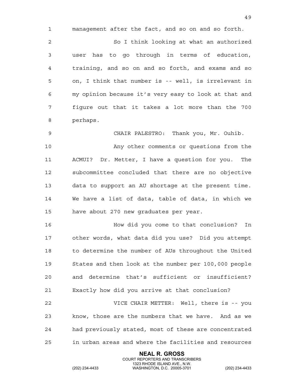1 management after the fact, and so on and so forth.

2 So I think looking at what an authorized 3 user has to go through in terms of education, 4 training, and so on and so forth, and exams and so 5 on, I think that number is -- well, is irrelevant in 6 my opinion because it's very easy to look at that and 7 figure out that it takes a lot more than the 700 8 perhaps.

9 CHAIR PALESTRO: Thank you, Mr. Ouhib. 10 Any other comments or questions from the 11 ACMUI? Dr. Metter, I have a question for you. The 12 subcommittee concluded that there are no objective 13 data to support an AU shortage at the present time. 14 We have a list of data, table of data, in which we

16 How did you come to that conclusion? In 17 other words, what data did you use? Did you attempt 18 to determine the number of AUs throughout the United 19 States and then look at the number per 100,000 people 20 and determine that's sufficient or insufficient?

21 Exactly how did you arrive at that conclusion?

15 have about 270 new graduates per year.

22 VICE CHAIR METTER: Well, there is -- you 23 know, those are the numbers that we have. And as we 24 had previously stated, most of these are concentrated 25 in urban areas and where the facilities and resources

> **NEAL R. GROSS** COURT REPORTERS AND TRANSCRIBERS

1323 RHODE ISLAND AVE., N.W.<br>WASHINGTON, D.C. 20005-3701

(202) 234-4433 WASHINGTON, D.C. 20005-3701 (202) 234-4433

49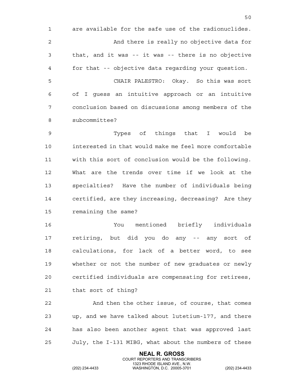1 are available for the safe use of the radionuclides. 2 And there is really no objective data for 3 that, and it was -- it was -- there is no objective 4 for that -- objective data regarding your question. 5 CHAIR PALESTRO: Okay. So this was sort 6 of I guess an intuitive approach or an intuitive 7 conclusion based on discussions among members of the 8 subcommittee?

9 Types of things that I would be 10 interested in that would make me feel more comfortable 11 with this sort of conclusion would be the following. 12 What are the trends over time if we look at the 13 specialties? Have the number of individuals being 14 certified, are they increasing, decreasing? Are they 15 remaining the same?

16 You mentioned briefly individuals 17 retiring, but did you do any -- any sort of 18 calculations, for lack of a better word, to see 19 whether or not the number of new graduates or newly 20 certified individuals are compensating for retirees, 21 that sort of thing?

22 And then the other issue, of course, that comes 23 up, and we have talked about lutetium-177, and there 24 has also been another agent that was approved last 25 July, the I-131 MIBG, what about the numbers of these

> **NEAL R. GROSS** COURT REPORTERS AND TRANSCRIBERS

1323 RHODE ISLAND AVE., N.W.<br>WASHINGTON, D.C. 20005-3701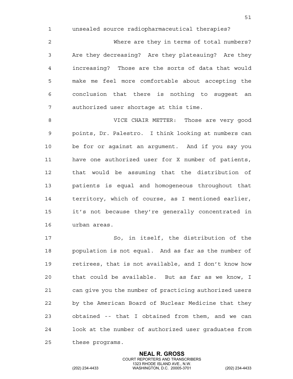1 unsealed source radiopharmaceutical therapies?

2 Where are they in terms of total numbers? 3 Are they decreasing? Are they plateauing? Are they 4 increasing? Those are the sorts of data that would 5 make me feel more comfortable about accepting the 6 conclusion that there is nothing to suggest an 7 authorized user shortage at this time.

8 VICE CHAIR METTER: Those are very good 9 points, Dr. Palestro. I think looking at numbers can 10 be for or against an argument. And if you say you 11 have one authorized user for X number of patients, 12 that would be assuming that the distribution of 13 patients is equal and homogeneous throughout that 14 territory, which of course, as I mentioned earlier, 15 it's not because they're generally concentrated in 16 urban areas.

17 So, in itself, the distribution of the 18 population is not equal. And as far as the number of 19 retirees, that is not available, and I don't know how 20 that could be available. But as far as we know, I 21 can give you the number of practicing authorized users 22 by the American Board of Nuclear Medicine that they 23 obtained -- that I obtained from them, and we can 24 look at the number of authorized user graduates from 25 these programs.

> **NEAL R. GROSS** COURT REPORTERS AND TRANSCRIBERS

1323 RHODE ISLAND AVE., N.W.<br>WASHINGTON, D.C. 20005-3701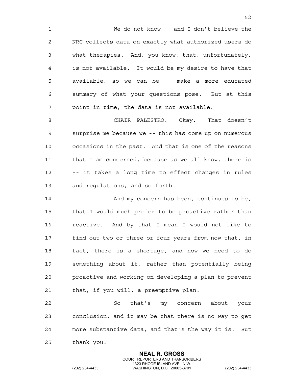1 We do not know -- and I don't believe the 2 NRC collects data on exactly what authorized users do 3 what therapies. And, you know, that, unfortunately, 4 is not available. It would be my desire to have that 5 available, so we can be -- make a more educated 6 summary of what your questions pose. But at this 7 point in time, the data is not available.

8 CHAIR PALESTRO: Okay. That doesn't 9 surprise me because we -- this has come up on numerous 10 occasions in the past. And that is one of the reasons 11 that I am concerned, because as we all know, there is 12 -- it takes a long time to effect changes in rules 13 and regulations, and so forth.

14 And my concern has been, continues to be, 15 that I would much prefer to be proactive rather than 16 reactive. And by that I mean I would not like to 17 find out two or three or four years from now that, in 18 fact, there is a shortage, and now we need to do 19 something about it, rather than potentially being 20 proactive and working on developing a plan to prevent 21 that, if you will, a preemptive plan.

22 So that's my concern about your 23 conclusion, and it may be that there is no way to get 24 more substantive data, and that's the way it is. But 25 thank you.

> **NEAL R. GROSS** COURT REPORTERS AND TRANSCRIBERS

1323 RHODE ISLAND AVE., N.W.<br>WASHINGTON, D.C. 20005-3701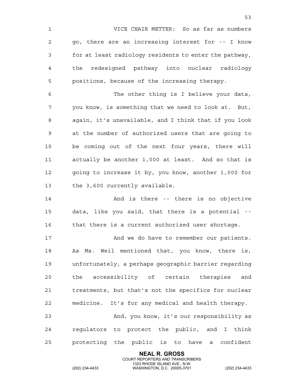1 VICE CHAIR METTER: So as far as numbers 2 go, there are an increasing interest for -- I know 3 for at least radiology residents to enter the pathway, 4 the redesigned pathway into nuclear radiology 5 positions, because of the increasing therapy. 6 The other thing is I believe your data, 7 you know, is something that we need to look at. But, 8 again, it's unavailable, and I think that if you look 9 at the number of authorized users that are going to 10 be coming out of the next four years, there will 11 actually be another 1,000 at least. And so that is 12 going to increase it by, you know, another 1,000 for 13 the 3,600 currently available. 14 And is there -- there is no objective 15 data, like you said, that there is a potential -- 16 that there is a current authorized user shortage. 17 And we do have to remember our patients. 18 As Ms. Weil mentioned that, you know, there is, 19 unfortunately, a perhaps geographic barrier regarding 20 the accessibility of certain therapies and 21 treatments, but that's not the specifics for nuclear 22 medicine. It's for any medical and health therapy. 23 And, you know, it's our responsibility as 24 regulators to protect the public, and I think 25 protecting the public is to have a confident

> **NEAL R. GROSS** COURT REPORTERS AND TRANSCRIBERS

 $53$ 

1323 RHODE ISLAND AVE., N.W.<br>WASHINGTON, D.C. 20005-3701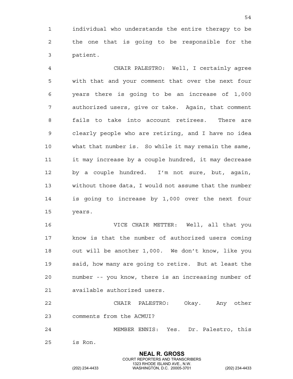1 individual who understands the entire therapy to be 2 the one that is going to be responsible for the 3 patient.

4 CHAIR PALESTRO: Well, I certainly agree 5 with that and your comment that over the next four 6 years there is going to be an increase of 1,000 7 authorized users, give or take. Again, that comment 8 fails to take into account retirees. There are 9 clearly people who are retiring, and I have no idea 10 what that number is. So while it may remain the same, 11 it may increase by a couple hundred, it may decrease 12 by a couple hundred. I'm not sure, but, again, 13 without those data, I would not assume that the number 14 is going to increase by 1,000 over the next four 15 years.

16 VICE CHAIR METTER: Well, all that you 17 know is that the number of authorized users coming 18 out will be another 1,000. We don't know, like you 19 said, how many are going to retire. But at least the 20 number -- you know, there is an increasing number of 21 available authorized users.

22 CHAIR PALESTRO: Okay. Any other 23 comments from the ACMUI?

24 MEMBER ENNIS: Yes. Dr. Palestro, this

**NEAL R. GROSS** COURT REPORTERS AND TRANSCRIBERS

25 is Ron.

1323 RHODE ISLAND AVE., N.W.<br>WASHINGTON, D.C. 20005-3701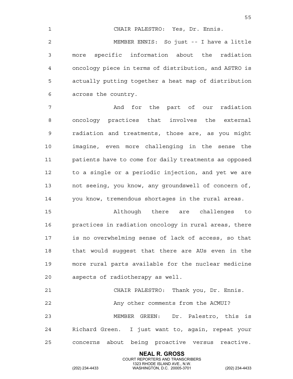1 CHAIR PALESTRO: Yes, Dr. Ennis. 2 MEMBER ENNIS: So just -- I have a little 3 more specific information about the radiation 4 oncology piece in terms of distribution, and ASTRO is 5 actually putting together a heat map of distribution 6 across the country.

7 And for the part of our radiation 8 oncology practices that involves the external 9 radiation and treatments, those are, as you might 10 imagine, even more challenging in the sense the 11 patients have to come for daily treatments as opposed 12 to a single or a periodic injection, and yet we are 13 not seeing, you know, any groundswell of concern of, 14 you know, tremendous shortages in the rural areas.

15 Although there are challenges to 16 practices in radiation oncology in rural areas, there 17 is no overwhelming sense of lack of access, so that 18 that would suggest that there are AUs even in the 19 more rural parts available for the nuclear medicine 20 aspects of radiotherapy as well.

21 CHAIR PALESTRO: Thank you, Dr. Ennis. 22 Any other comments from the ACMUI? 23 MEMBER GREEN: Dr. Palestro, this is 24 Richard Green. I just want to, again, repeat your 25 concerns about being proactive versus reactive.

> **NEAL R. GROSS** COURT REPORTERS AND TRANSCRIBERS

1323 RHODE ISLAND AVE., N.W.<br>WASHINGTON, D.C. 20005-3701

(202) 234-4433 WASHINGTON, D.C. 20005-3701 (202) 234-4433

 $55$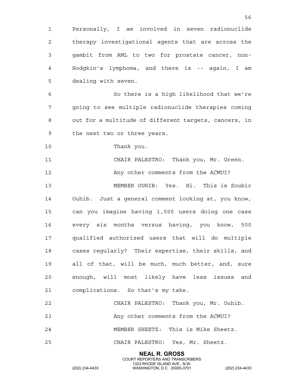1 Personally, I am involved in seven radionuclide 2 therapy investigational agents that are across the 3 gambit from AML to two for prostate cancer, non-4 Hodgkin's lymphoma, and there is -- again, I am 5 dealing with seven. 6 So there is a high likelihood that we're 7 going to see multiple radionuclide therapies coming 8 out for a multitude of different targets, cancers, in 9 the next two or three years. 10 Thank you. 11 CHAIR PALESTRO: Thank you, Mr. Green. 12 Any other comments from the ACMUI? 13 MEMBER OUHIB: Yes. Hi. This is Zoubir 14 Ouhib. Just a general comment looking at, you know, 15 can you imagine having 1,000 users doing one case 16 every six months versus having, you know, 500 17 qualified authorized users that will do multiple 18 cases regularly? Their expertise, their skills, and 19 all of that, will be much, much better, and, sure 20 enough, will most likely have less issues and 21 complications. So that's my take. 22 CHAIR PALESTRO: Thank you, Mr. Ouhib. 23 Any other comments from the ACMUI? 24 MEMBER SHEETZ: This is Mike Sheetz. 25 CHAIR PALESTRO: Yes, Mr. Sheetz.

> **NEAL R. GROSS** COURT REPORTERS AND TRANSCRIBERS

56

1323 RHODE ISLAND AVE., N.W.<br>WASHINGTON, D.C. 20005-3701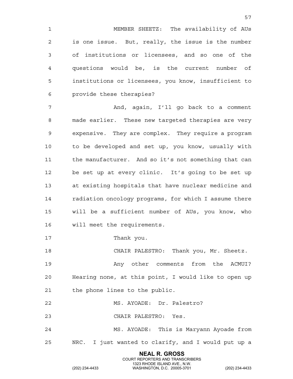1 MEMBER SHEETZ: The availability of AUs 2 is one issue. But, really, the issue is the number 3 of institutions or licensees, and so one of the 4 questions would be, is the current number of 5 institutions or licensees, you know, insufficient to 6 provide these therapies?

7 And, again, I'll go back to a comment 8 made earlier. These new targeted therapies are very 9 expensive. They are complex. They require a program 10 to be developed and set up, you know, usually with 11 the manufacturer. And so it's not something that can 12 be set up at every clinic. It's going to be set up 13 at existing hospitals that have nuclear medicine and 14 radiation oncology programs, for which I assume there 15 will be a sufficient number of AUs, you know, who 16 will meet the requirements.

17 Thank you.

18 CHAIR PALESTRO: Thank you, Mr. Sheetz.

19 Any other comments from the ACMUI? 20 Hearing none, at this point, I would like to open up 21 the phone lines to the public.

22 MS. AYOADE: Dr. Palestro?

23 CHAIR PALESTRO: Yes.

24 MS. AYOADE: This is Maryann Ayoade from 25 NRC. I just wanted to clarify, and I would put up a

> **NEAL R. GROSS** COURT REPORTERS AND TRANSCRIBERS

57

1323 RHODE ISLAND AVE., N.W.<br>WASHINGTON, D.C. 20005-3701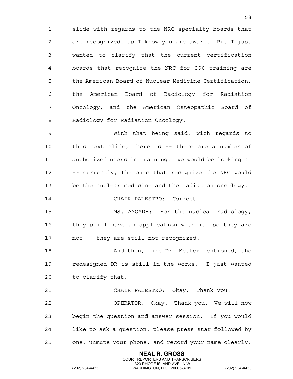1 slide with regards to the NRC specialty boards that 2 are recognized, as I know you are aware. But I just 3 wanted to clarify that the current certification 4 boards that recognize the NRC for 390 training are 5 the American Board of Nuclear Medicine Certification, 6 the American Board of Radiology for Radiation 7 Oncology, and the American Osteopathic Board of 8 Radiology for Radiation Oncology.

9 With that being said, with regards to 10 this next slide, there is -- there are a number of 11 authorized users in training. We would be looking at 12 -- currently, the ones that recognize the NRC would 13 be the nuclear medicine and the radiation oncology.

14 CHAIR PALESTRO: Correct.

15 MS. AYOADE: For the nuclear radiology, 16 they still have an application with it, so they are 17 not -- they are still not recognized.

18 And then, like Dr. Metter mentioned, the 19 redesigned DR is still in the works. I just wanted 20 to clarify that.

21 CHAIR PALESTRO: Okay. Thank you. 22 OPERATOR: Okay. Thank you. We will now 23 begin the question and answer session. If you would 24 like to ask a question, please press star followed by 25 one, unmute your phone, and record your name clearly.

> **NEAL R. GROSS** COURT REPORTERS AND TRANSCRIBERS

1323 RHODE ISLAND AVE., N.W.<br>WASHINGTON, D.C. 20005-3701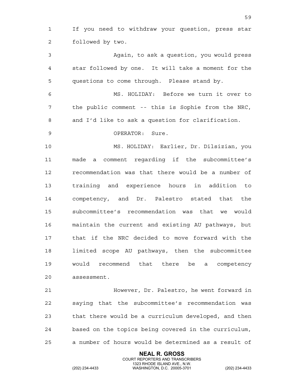1 If you need to withdraw your question, press star 2 followed by two.

3 Again, to ask a question, you would press 4 star followed by one. It will take a moment for the 5 questions to come through. Please stand by.

6 MS. HOLIDAY: Before we turn it over to 7 the public comment -- this is Sophie from the NRC, 8 and I'd like to ask a question for clarification.

9 OPERATOR: Sure.

10 MS. HOLIDAY: Earlier, Dr. Dilsizian, you 11 made a comment regarding if the subcommittee's 12 recommendation was that there would be a number of 13 training and experience hours in addition to 14 competency, and Dr. Palestro stated that the 15 subcommittee's recommendation was that we would 16 maintain the current and existing AU pathways, but 17 that if the NRC decided to move forward with the 18 limited scope AU pathways, then the subcommittee 19 would recommend that there be a competency 20 assessment.

21 However, Dr. Palestro, he went forward in 22 saying that the subcommittee's recommendation was 23 that there would be a curriculum developed, and then 24 based on the topics being covered in the curriculum, 25 a number of hours would be determined as a result of

> **NEAL R. GROSS** COURT REPORTERS AND TRANSCRIBERS

1323 RHODE ISLAND AVE., N.W.<br>WASHINGTON, D.C. 20005-3701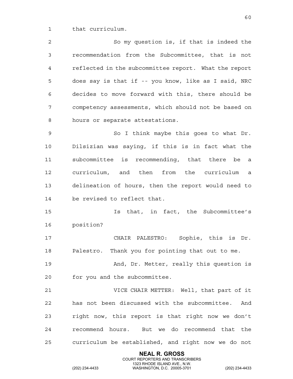1 that curriculum.

2 So my question is, if that is indeed the 3 recommendation from the Subcommittee, that is not 4 reflected in the subcommittee report. What the report 5 does say is that if -- you know, like as I said, NRC 6 decides to move forward with this, there should be 7 competency assessments, which should not be based on 8 hours or separate attestations.

9 So I think maybe this goes to what Dr. 10 Dilsizian was saying, if this is in fact what the 11 subcommittee is recommending, that there be a 12 curriculum, and then from the curriculum a 13 delineation of hours, then the report would need to 14 be revised to reflect that.

15 Is that, in fact, the Subcommittee's 16 position?

17 CHAIR PALESTRO: Sophie, this is Dr. 18 Palestro. Thank you for pointing that out to me.

19 And, Dr. Metter, really this question is 20 for you and the subcommittee.

21 VICE CHAIR METTER: Well, that part of it 22 has not been discussed with the subcommittee. And 23 right now, this report is that right now we don't 24 recommend hours. But we do recommend that the 25 curriculum be established, and right now we do not

> **NEAL R. GROSS** COURT REPORTERS AND TRANSCRIBERS

1323 RHODE ISLAND AVE., N.W.<br>WASHINGTON, D.C. 20005-3701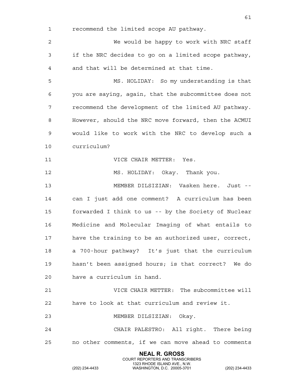1 recommend the limited scope AU pathway. 2 We would be happy to work with NRC staff 3 if the NRC decides to go on a limited scope pathway, 4 and that will be determined at that time. 5 MS. HOLIDAY: So my understanding is that 6 you are saying, again, that the subcommittee does not 7 recommend the development of the limited AU pathway. 8 However, should the NRC move forward, then the ACMUI 9 would like to work with the NRC to develop such a 10 curriculum? 11 VICE CHAIR METTER: Yes. 12 MS. HOLIDAY: Okay. Thank you. 13 MEMBER DILSIZIAN: Vasken here. Just -- 14 can I just add one comment? A curriculum has been 15 forwarded I think to us -- by the Society of Nuclear

16 Medicine and Molecular Imaging of what entails to 17 have the training to be an authorized user, correct, 18 a 700-hour pathway? It's just that the curriculum 19 hasn't been assigned hours; is that correct? We do

20 have a curriculum in hand.

21 VICE CHAIR METTER: The subcommittee will 22 have to look at that curriculum and review it.

23 MEMBER DILSIZIAN: Okay.

24 CHAIR PALESTRO: All right. There being 25 no other comments, if we can move ahead to comments

> **NEAL R. GROSS** COURT REPORTERS AND TRANSCRIBERS

61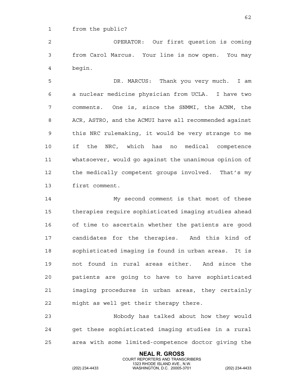1 from the public?

2 OPERATOR: Our first question is coming 3 from Carol Marcus. Your line is now open. You may 4 begin.

5 DR. MARCUS: Thank you very much. I am 6 a nuclear medicine physician from UCLA. I have two 7 comments. One is, since the SNMMI, the ACNM, the 8 ACR, ASTRO, and the ACMUI have all recommended against 9 this NRC rulemaking, it would be very strange to me 10 if the NRC, which has no medical competence 11 whatsoever, would go against the unanimous opinion of 12 the medically competent groups involved. That's my 13 first comment.

14 My second comment is that most of these 15 therapies require sophisticated imaging studies ahead 16 of time to ascertain whether the patients are good 17 candidates for the therapies. And this kind of 18 sophisticated imaging is found in urban areas. It is 19 not found in rural areas either. And since the 20 patients are going to have to have sophisticated 21 imaging procedures in urban areas, they certainly 22 might as well get their therapy there.

23 Nobody has talked about how they would 24 get these sophisticated imaging studies in a rural 25 area with some limited-competence doctor giving the

> **NEAL R. GROSS** COURT REPORTERS AND TRANSCRIBERS

1323 RHODE ISLAND AVE., N.W.<br>WASHINGTON, D.C. 20005-3701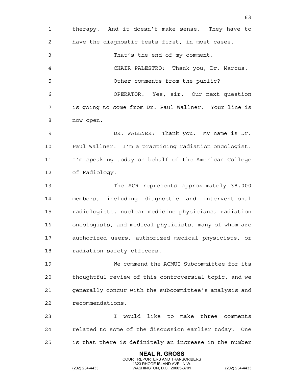**NEAL R. GROSS** 1 therapy. And it doesn't make sense. They have to 2 have the diagnostic tests first, in most cases. 3 That's the end of my comment. 4 CHAIR PALESTRO: Thank you, Dr. Marcus. 5 Other comments from the public? 6 OPERATOR: Yes, sir. Our next question 7 is going to come from Dr. Paul Wallner. Your line is 8 now open. 9 DR. WALLNER: Thank you. My name is Dr. 10 Paul Wallner. I'm a practicing radiation oncologist. 11 I'm speaking today on behalf of the American College 12 of Radiology. 13 The ACR represents approximately 38,000 14 members, including diagnostic and interventional 15 radiologists, nuclear medicine physicians, radiation 16 oncologists, and medical physicists, many of whom are 17 authorized users, authorized medical physicists, or 18 radiation safety officers. 19 We commend the ACMUI Subcommittee for its 20 thoughtful review of this controversial topic, and we 21 generally concur with the subcommittee's analysis and 22 recommendations. 23 I would like to make three comments 24 related to some of the discussion earlier today. One 25 is that there is definitely an increase in the number

COURT REPORTERS AND TRANSCRIBERS

63

1323 RHODE ISLAND AVE., N.W.<br>WASHINGTON, D.C. 20005-3701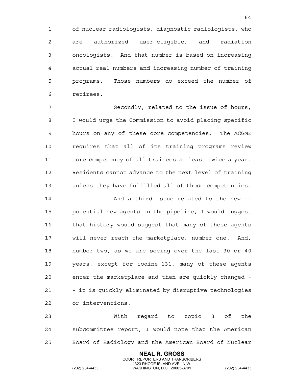1 of nuclear radiologists, diagnostic radiologists, who 2 are authorized user-eligible, and radiation 3 oncologists. And that number is based on increasing 4 actual real numbers and increasing number of training 5 programs. Those numbers do exceed the number of 6 retirees.

7 Secondly, related to the issue of hours, 8 I would urge the Commission to avoid placing specific 9 hours on any of these core competencies. The ACGME 10 requires that all of its training programs review 11 core competency of all trainees at least twice a year. 12 Residents cannot advance to the next level of training 13 unless they have fulfilled all of those competencies.

14 And a third issue related to the new -- 15 potential new agents in the pipeline, I would suggest 16 that history would suggest that many of these agents 17 will never reach the marketplace, number one. And, 18 number two, as we are seeing over the last 30 or 40 19 years, except for iodine-131, many of these agents 20 enter the marketplace and then are quickly changed - 21 - it is quickly eliminated by disruptive technologies 22 or interventions.

23 With regard to topic 3 of the 24 subcommittee report, I would note that the American 25 Board of Radiology and the American Board of Nuclear

> **NEAL R. GROSS** COURT REPORTERS AND TRANSCRIBERS

1323 RHODE ISLAND AVE., N.W.<br>WASHINGTON, D.C. 20005-3701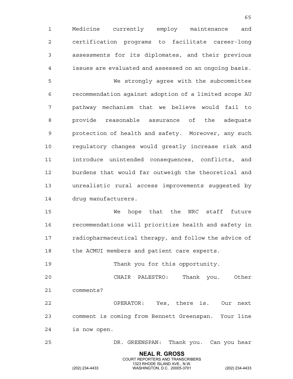1 Medicine currently employ maintenance and 2 certification programs to facilitate career-long 3 assessments for its diplomates, and their previous 4 issues are evaluated and assessed on an ongoing basis. 5 We strongly agree with the subcommittee 6 recommendation against adoption of a limited scope AU 7 pathway mechanism that we believe would fail to 8 provide reasonable assurance of the adequate 9 protection of health and safety. Moreover, any such 10 regulatory changes would greatly increase risk and 11 introduce unintended consequences, conflicts, and 12 burdens that would far outweigh the theoretical and 13 unrealistic rural access improvements suggested by 14 drug manufacturers.

 $65$ 

15 We hope that the NRC staff future 16 recommendations will prioritize health and safety in 17 radiopharmaceutical therapy, and follow the advice of 18 the ACMUI members and patient care experts.

19 Thank you for this opportunity.

20 CHAIR PALESTRO: Thank you. Other 21 comments?

22 OPERATOR: Yes, there is. Our next 23 comment is coming from Bennett Greenspan. Your line 24 is now open.

25 DR. GREENSPAN: Thank you. Can you hear

**NEAL R. GROSS** COURT REPORTERS AND TRANSCRIBERS

1323 RHODE ISLAND AVE., N.W.<br>WASHINGTON, D.C. 20005-3701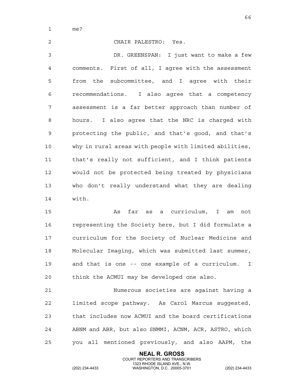1 me?

2 CHAIR PALESTRO: Yes. 3 DR. GREENSPAN: I just want to make a few 4 comments. First of all, I agree with the assessment 5 from the subcommittee, and I agree with their 6 recommendations. I also agree that a competency 7 assessment is a far better approach than number of 8 hours. I also agree that the NRC is charged with 9 protecting the public, and that's good, and that's 10 why in rural areas with people with limited abilities, 11 that's really not sufficient, and I think patients 12 would not be protected being treated by physicians 13 who don't really understand what they are dealing 14 with.

15 As far as a curriculum, I am not 16 representing the Society here, but I did formulate a 17 curriculum for the Society of Nuclear Medicine and 18 Molecular Imaging, which was submitted last summer, 19 and that is one -- one example of a curriculum. I 20 think the ACMUI may be developed one also.

21 Numerous societies are against having a 22 limited scope pathway. As Carol Marcus suggested, 23 that includes now ACMUI and the board certifications 24 ABNM and ABR, but also SNMMI, ACNM, ACR, ASTRO, which 25 you all mentioned previously, and also AAPM, the

> **NEAL R. GROSS** COURT REPORTERS AND TRANSCRIBERS

1323 RHODE ISLAND AVE., N.W.<br>WASHINGTON, D.C. 20005-3701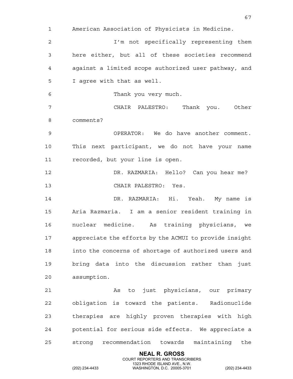**NEAL R. GROSS** 1 American Association of Physicists in Medicine. 2 I'm not specifically representing them 3 here either, but all of these societies recommend 4 against a limited scope authorized user pathway, and 5 I agree with that as well. 6 Thank you very much. 7 CHAIR PALESTRO: Thank you. Other 8 comments? 9 OPERATOR: We do have another comment. 10 This next participant, we do not have your name 11 recorded, but your line is open. 12 DR. RAZMARIA: Hello? Can you hear me? 13 CHAIR PALESTRO: Yes. 14 DR. RAZMARIA: Hi. Yeah. My name is 15 Aria Razmaria. I am a senior resident training in 16 nuclear medicine. As training physicians, we 17 appreciate the efforts by the ACMUI to provide insight 18 into the concerns of shortage of authorized users and 19 bring data into the discussion rather than just 20 assumption. 21 As to just physicians, our primary 22 obligation is toward the patients. Radionuclide 23 therapies are highly proven therapies with high 24 potential for serious side effects. We appreciate a 25 strong recommendation towards maintaining the

COURT REPORTERS AND TRANSCRIBERS

67

1323 RHODE ISLAND AVE., N.W.<br>WASHINGTON, D.C. 20005-3701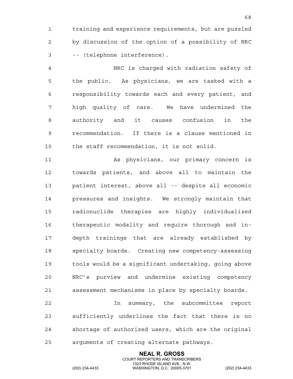1 training and experience requirements, but are puzzled 2 by discussion of the option of a possibility of NRC 3 -- (telephone interference).

4 NRC is charged with radiation safety of 5 the public. As physicians, we are tasked with a 6 responsibility towards each and every patient, and 7 high quality of care. We have undermined the 8 authority and it causes confusion in the 9 recommendation. If there is a clause mentioned in 10 the staff recommendation, it is not solid.

11 As physicians, our primary concern is 12 towards patients, and above all to maintain the 13 patient interest, above all -- despite all economic 14 pressures and insights. We strongly maintain that 15 radionuclide therapies are highly individualized 16 therapeutic modality and require thorough and in-17 depth trainings that are already established by 18 specialty boards. Creating new competency-assessing 19 tools would be a significant undertaking, going above 20 NRC's purview and undermine existing competency 21 assessment mechanisms in place by specialty boards.

22 In summary, the subcommittee report 23 sufficiently underlines the fact that there is no 24 shortage of authorized users, which are the original 25 arguments of creating alternate pathways.

> **NEAL R. GROSS** COURT REPORTERS AND TRANSCRIBERS

1323 RHODE ISLAND AVE., N.W.<br>WASHINGTON, D.C. 20005-3701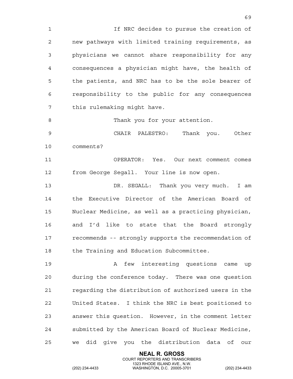1 If NRC decides to pursue the creation of 2 new pathways with limited training requirements, as 3 physicians we cannot share responsibility for any 4 consequences a physician might have, the health of 5 the patients, and NRC has to be the sole bearer of 6 responsibility to the public for any consequences 7 this rulemaking might have.

8 Thank you for your attention.

9 CHAIR PALESTRO: Thank you. Other 10 comments?

11 OPERATOR: Yes. Our next comment comes 12 from George Segall. Your line is now open.

13 DR. SEGALL: Thank you very much. I am 14 the Executive Director of the American Board of 15 Nuclear Medicine, as well as a practicing physician, 16 and I'd like to state that the Board strongly 17 recommends -- strongly supports the recommendation of 18 the Training and Education Subcommittee.

19 A few interesting questions came up 20 during the conference today. There was one question 21 regarding the distribution of authorized users in the 22 United States. I think the NRC is best positioned to 23 answer this question. However, in the comment letter 24 submitted by the American Board of Nuclear Medicine, 25 we did give you the distribution data of our

> **NEAL R. GROSS** COURT REPORTERS AND TRANSCRIBERS

1323 RHODE ISLAND AVE., N.W.<br>WASHINGTON, D.C. 20005-3701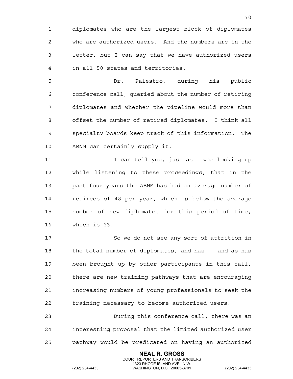1 diplomates who are the largest block of diplomates 2 who are authorized users. And the numbers are in the 3 letter, but I can say that we have authorized users 4 in all 50 states and territories.

5 Dr. Palestro, during his public 6 conference call, queried about the number of retiring 7 diplomates and whether the pipeline would more than 8 offset the number of retired diplomates. I think all 9 specialty boards keep track of this information. The 10 ABNM can certainly supply it.

11 11 I can tell you, just as I was looking up 12 while listening to these proceedings, that in the 13 past four years the ABNM has had an average number of 14 retirees of 48 per year, which is below the average 15 number of new diplomates for this period of time, 16 which is 63.

17 So we do not see any sort of attrition in 18 the total number of diplomates, and has -- and as has 19 been brought up by other participants in this call, 20 there are new training pathways that are encouraging 21 increasing numbers of young professionals to seek the 22 training necessary to become authorized users.

23 During this conference call, there was an 24 interesting proposal that the limited authorized user 25 pathway would be predicated on having an authorized

> **NEAL R. GROSS** COURT REPORTERS AND TRANSCRIBERS

1323 RHODE ISLAND AVE., N.W.<br>WASHINGTON, D.C. 20005-3701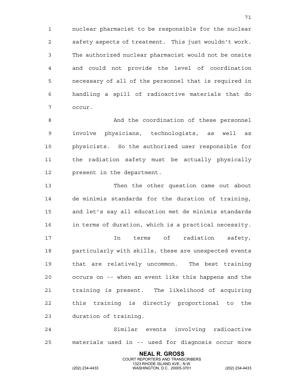1 nuclear pharmacist to be responsible for the nuclear 2 safety aspects of treatment. This just wouldn't work. 3 The authorized nuclear pharmacist would not be onsite 4 and could not provide the level of coordination 5 necessary of all of the personnel that is required in 6 handling a spill of radioactive materials that do 7 occur.

8 And the coordination of these personnel 9 involve physicians, technologists, as well as 10 physicists. So the authorized user responsible for 11 the radiation safety must be actually physically 12 present in the department.

13 Then the other question came out about 14 de minimis standards for the duration of training, 15 and let's say all education met de minimis standards 16 in terms of duration, which is a practical necessity. 17 In terms of radiation safety, 18 particularly with skills, these are unexpected events 19 that are relatively uncommon. The best training 20 occurs on -- when an event like this happens and the 21 training is present. The likelihood of acquiring 22 this training is directly proportional to the 23 duration of training.

24 Similar events involving radioactive 25 materials used in -- used for diagnosis occur more

> **NEAL R. GROSS** COURT REPORTERS AND TRANSCRIBERS

1323 RHODE ISLAND AVE., N.W.<br>WASHINGTON, D.C. 20005-3701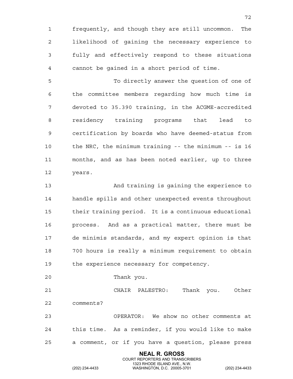1 frequently, and though they are still uncommon. The 2 likelihood of gaining the necessary experience to 3 fully and effectively respond to these situations 4 cannot be gained in a short period of time.

72

5 To directly answer the question of one of 6 the committee members regarding how much time is 7 devoted to 35.390 training, in the ACGME-accredited 8 residency training programs that lead to 9 certification by boards who have deemed-status from 10 the NRC, the minimum training -- the minimum -- is 16 11 months, and as has been noted earlier, up to three 12 years.

13 And training is gaining the experience to 14 handle spills and other unexpected events throughout 15 their training period. It is a continuous educational 16 process. And as a practical matter, there must be 17 de minimis standards, and my expert opinion is that 18 700 hours is really a minimum requirement to obtain 19 the experience necessary for competency.

20 Thank you.

21 CHAIR PALESTRO: Thank you. Other 22 comments?

23 OPERATOR: We show no other comments at 24 this time. As a reminder, if you would like to make 25 a comment, or if you have a question, please press

> **NEAL R. GROSS** COURT REPORTERS AND TRANSCRIBERS

1323 RHODE ISLAND AVE., N.W.<br>WASHINGTON, D.C. 20005-3701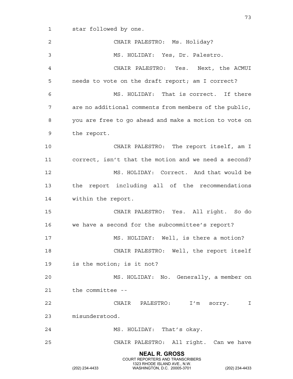1 star followed by one.

**NEAL R. GROSS** COURT REPORTERS AND TRANSCRIBERS 1323 RHODE ISLAND AVE., N.W.<br>WASHINGTON, D.C. 20005-3701 2 CHAIR PALESTRO: Ms. Holiday? 3 MS. HOLIDAY: Yes, Dr. Palestro. 4 CHAIR PALESTRO: Yes. Next, the ACMUI 5 needs to vote on the draft report; am I correct? 6 MS. HOLIDAY: That is correct. If there 7 are no additional comments from members of the public, 8 you are free to go ahead and make a motion to vote on 9 the report. 10 CHAIR PALESTRO: The report itself, am I 11 correct, isn't that the motion and we need a second? 12 MS. HOLIDAY: Correct. And that would be 13 the report including all of the recommendations 14 within the report. 15 CHAIR PALESTRO: Yes. All right. So do 16 we have a second for the subcommittee's report? 17 MS. HOLIDAY: Well, is there a motion? 18 CHAIR PALESTRO: Well, the report itself 19 is the motion; is it not? 20 MS. HOLIDAY: No. Generally, a member on 21 the committee -- 22 CHAIR PALESTRO: I'm sorry. I 23 misunderstood. 24 MS. HOLIDAY: That's okay. 25 CHAIR PALESTRO: All right. Can we have

(202) 234-4433 WASHINGTON, D.C. 20005-3701 (202) 234-4433

73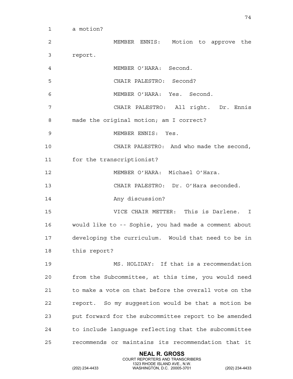1 a motion?

2 MEMBER ENNIS: Motion to approve the 3 report. 4 MEMBER O'HARA: Second. 5 CHAIR PALESTRO: Second? 6 MEMBER O'HARA: Yes. Second. 7 CHAIR PALESTRO: All right. Dr. Ennis 8 made the original motion; am I correct? 9 MEMBER ENNIS: Yes. 10 CHAIR PALESTRO: And who made the second, 11 for the transcriptionist? 12 MEMBER O'HARA: Michael O'Hara. 13 CHAIR PALESTRO: Dr. O'Hara seconded. 14 Any discussion? 15 VICE CHAIR METTER: This is Darlene. I 16 would like to -- Sophie, you had made a comment about 17 developing the curriculum. Would that need to be in 18 this report? 19 MS. HOLIDAY: If that is a recommendation 20 from the Subcommittee, at this time, you would need 21 to make a vote on that before the overall vote on the 22 report. So my suggestion would be that a motion be 23 put forward for the subcommittee report to be amended 24 to include language reflecting that the subcommittee 25 recommends or maintains its recommendation that it

> **NEAL R. GROSS** COURT REPORTERS AND TRANSCRIBERS

1323 RHODE ISLAND AVE., N.W.<br>WASHINGTON, D.C. 20005-3701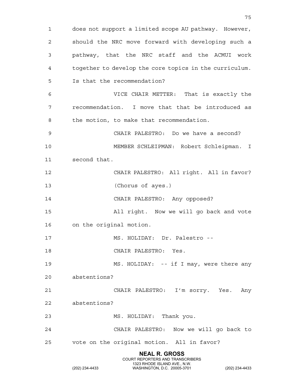**NEAL R. GROSS** COURT REPORTERS AND TRANSCRIBERS 1323 RHODE ISLAND AVE., N.W.<br>WASHINGTON, D.C. 20005-3701 1 does not support a limited scope AU pathway. However, 2 should the NRC move forward with developing such a 3 pathway, that the NRC staff and the ACMUI work 4 together to develop the core topics in the curriculum. 5 Is that the recommendation? 6 VICE CHAIR METTER: That is exactly the 7 recommendation. I move that that be introduced as 8 the motion, to make that recommendation. 9 CHAIR PALESTRO: Do we have a second? 10 MEMBER SCHLEIPMAN: Robert Schleipman. I 11 second that. 12 CHAIR PALESTRO: All right. All in favor? 13 (Chorus of ayes.) 14 CHAIR PALESTRO: Any opposed? 15 All right. Now we will go back and vote 16 on the original motion. 17 MS. HOLIDAY: Dr. Palestro -- 18 CHAIR PALESTRO: Yes. 19 MS. HOLIDAY: -- if I may, were there any 20 abstentions? 21 CHAIR PALESTRO: I'm sorry. Yes. Any 22 abstentions? 23 MS. HOLIDAY: Thank you. 24 CHAIR PALESTRO: Now we will go back to 25 vote on the original motion. All in favor?

75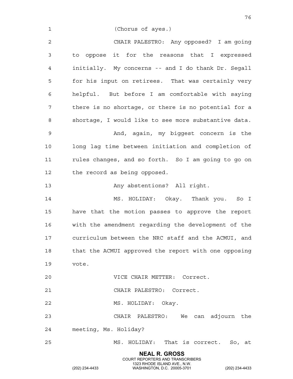**NEAL R. GROSS** 1 (Chorus of ayes.) 2 CHAIR PALESTRO: Any opposed? I am going 3 to oppose it for the reasons that I expressed 4 initially. My concerns -- and I do thank Dr. Segall 5 for his input on retirees. That was certainly very 6 helpful. But before I am comfortable with saying 7 there is no shortage, or there is no potential for a 8 shortage, I would like to see more substantive data. 9 And, again, my biggest concern is the 10 long lag time between initiation and completion of 11 rules changes, and so forth. So I am going to go on 12 the record as being opposed. 13 Any abstentions? All right. 14 MS. HOLIDAY: Okay. Thank you. So I 15 have that the motion passes to approve the report 16 with the amendment regarding the development of the 17 curriculum between the NRC staff and the ACMUI, and 18 that the ACMUI approved the report with one opposing 19 vote. 20 VICE CHAIR METTER: Correct. 21 CHAIR PALESTRO: Correct. 22 MS. HOLIDAY: Okay. 23 CHAIR PALESTRO: We can adjourn the 24 meeting, Ms. Holiday? 25 MS. HOLIDAY: That is correct. So, at

COURT REPORTERS AND TRANSCRIBERS

76

1323 RHODE ISLAND AVE., N.W.<br>WASHINGTON, D.C. 20005-3701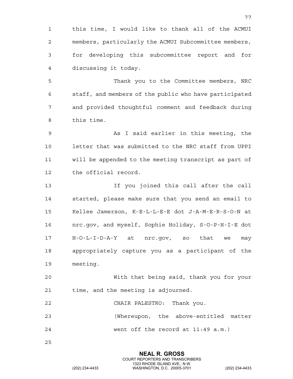1 this time, I would like to thank all of the ACMUI 2 members, particularly the ACMUI Subcommittee members, 3 for developing this subcommittee report and for 4 discussing it today.

77

5 Thank you to the Committee members, NRC 6 staff, and members of the public who have participated 7 and provided thoughtful comment and feedback during 8 this time.

9 As I said earlier in this meeting, the 10 letter that was submitted to the NRC staff from UPPI 11 will be appended to the meeting transcript as part of 12 the official record.

13 If you joined this call after the call 14 started, please make sure that you send an email to 15 Kellee Jamerson, K-E-L-L-E-E dot J-A-M-E-R-S-O-N at 16 nrc.gov, and myself, Sophie Holiday, S-O-P-H-I-E dot 17 H-O-L-I-D-A-Y at nrc.gov, so that we may 18 appropriately capture you as a participant of the 19 meeting.

20 With that being said, thank you for your 21 time, and the meeting is adjourned.

22 CHAIR PALESTRO: Thank you.

23 (Whereupon, the above-entitled matter 24 went off the record at 11:49 a.m.)

25

**NEAL R. GROSS** COURT REPORTERS AND TRANSCRIBERS 1323 RHODE ISLAND AVE., N.W.<br>WASHINGTON, D.C. 20005-3701 (202) 234-4433 WASHINGTON, D.C. 20005-3701 (202) 234-4433